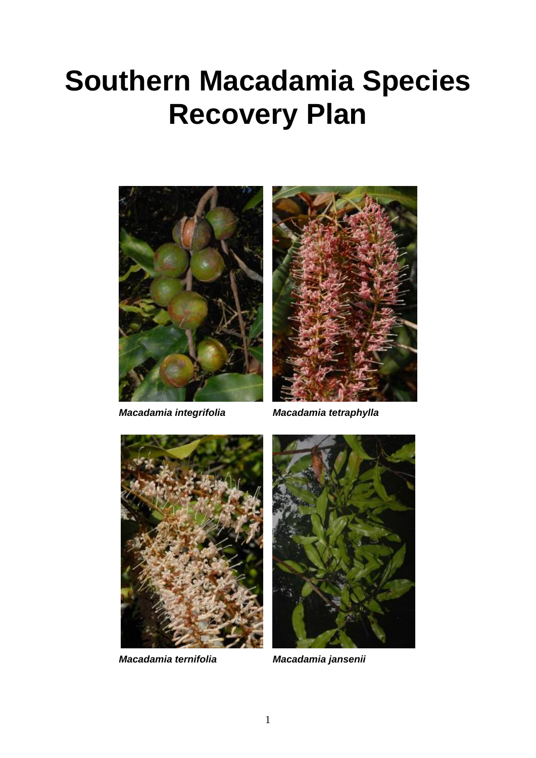# **Southern Macadamia Species Recovery Plan**





*Macadamia integrifolia Macadamia tetraphylla*



*Macadamia ternifolia Macadamia jansenii*

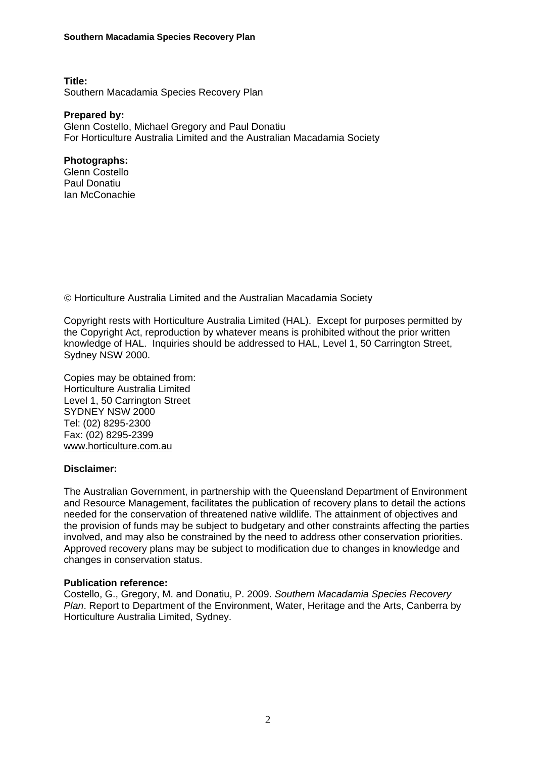**Title:**  Southern Macadamia Species Recovery Plan

**Prepared by:**  Glenn Costello, Michael Gregory and Paul Donatiu For Horticulture Australia Limited and the Australian Macadamia Society

#### **Photographs:**

Glenn Costello Paul Donatiu Ian McConachie

Horticulture Australia Limited and the Australian Macadamia Society

Copyright rests with Horticulture Australia Limited (HAL). Except for purposes permitted by the Copyright Act, reproduction by whatever means is prohibited without the prior written knowledge of HAL. Inquiries should be addressed to HAL, Level 1, 50 Carrington Street, Sydney NSW 2000.

Copies may be obtained from: Horticulture Australia Limited Level 1, 50 Carrington Street SYDNEY NSW 2000 Tel: (02) 8295-2300 Fax: (02) 8295-2399 [www.horticulture.com.au](http://www.horticultrue.com.au/)

#### **Disclaimer:**

The Australian Government, in partnership with the Queensland Department of Environment and Resource Management, facilitates the publication of recovery plans to detail the actions needed for the conservation of threatened native wildlife. The attainment of objectives and the provision of funds may be subject to budgetary and other constraints affecting the parties involved, and may also be constrained by the need to address other conservation priorities. Approved recovery plans may be subject to modification due to changes in knowledge and changes in conservation status.

#### **Publication reference:**

Costello, G., Gregory, M. and Donatiu, P. 2009. *Southern Macadamia Species Recovery Plan*. Report to Department of the Environment, Water, Heritage and the Arts, Canberra by Horticulture Australia Limited, Sydney.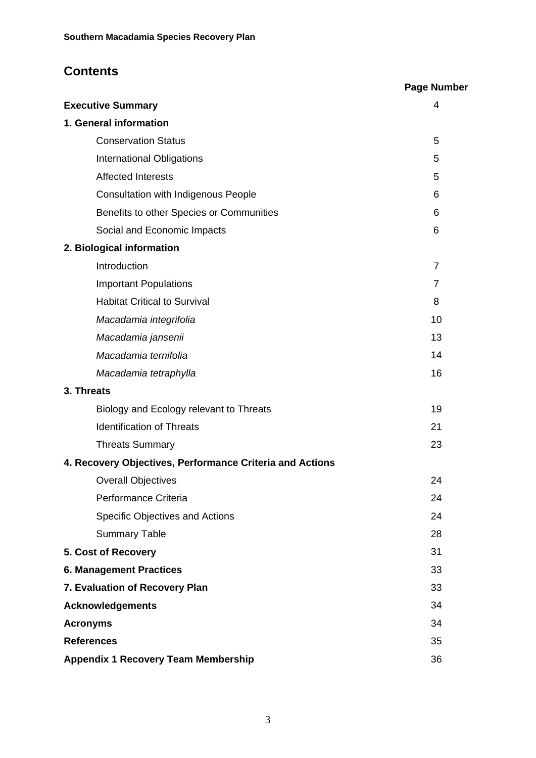# **Contents**

|                                                          | <b>Page Number</b> |
|----------------------------------------------------------|--------------------|
| <b>Executive Summary</b>                                 | 4                  |
| 1. General information                                   |                    |
| <b>Conservation Status</b>                               | 5                  |
| <b>International Obligations</b>                         | 5                  |
| <b>Affected Interests</b>                                | 5                  |
| <b>Consultation with Indigenous People</b>               | 6                  |
| Benefits to other Species or Communities                 | 6                  |
| Social and Economic Impacts                              | 6                  |
| 2. Biological information                                |                    |
| Introduction                                             | $\overline{7}$     |
| <b>Important Populations</b>                             | $\overline{7}$     |
| <b>Habitat Critical to Survival</b>                      | 8                  |
| Macadamia integrifolia                                   | 10                 |
| Macadamia jansenii                                       | 13                 |
| Macadamia ternifolia                                     | 14                 |
| Macadamia tetraphylla                                    | 16                 |
| 3. Threats                                               |                    |
| Biology and Ecology relevant to Threats                  | 19                 |
| <b>Identification of Threats</b>                         | 21                 |
| <b>Threats Summary</b>                                   | 23                 |
| 4. Recovery Objectives, Performance Criteria and Actions |                    |
| <b>Overall Objectives</b>                                | 24                 |
| Performance Criteria                                     | 24                 |
| <b>Specific Objectives and Actions</b>                   | 24                 |
| <b>Summary Table</b>                                     | 28                 |
| 5. Cost of Recovery                                      | 31                 |
| <b>6. Management Practices</b>                           | 33                 |
| 7. Evaluation of Recovery Plan                           | 33                 |
| <b>Acknowledgements</b>                                  | 34                 |
| <b>Acronyms</b>                                          | 34                 |
| <b>References</b>                                        | 35                 |
| <b>Appendix 1 Recovery Team Membership</b>               | 36                 |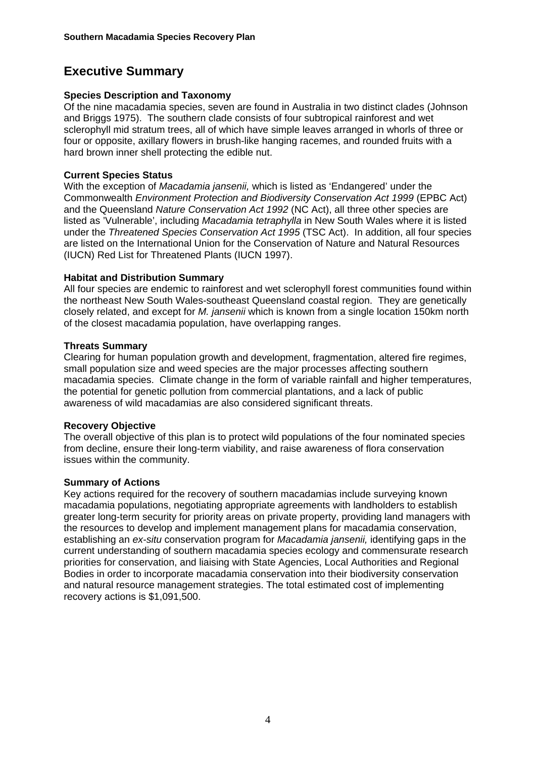# **Executive Summary**

#### **Species Description and Taxonomy**

Of the nine macadamia species, seven are found in Australia in two distinct clades (Johnson and Briggs 1975). The southern clade consists of four subtropical rainforest and wet sclerophyll mid stratum trees, all of which have simple leaves arranged in whorls of three or four or opposite, axillary flowers in brush-like hanging racemes, and rounded fruits with a hard brown inner shell protecting the edible nut.

#### **Current Species Status**

With the exception of *Macadamia jansenii,* which is listed as 'Endangered' under the Commonwealth *Environment Protection and Biodiversity Conservation Act 1999* (EPBC Act) and the Queensland *Nature Conservation Act 1992* (NC Act), all three other species are listed as 'Vulnerable', including *Macadamia tetraphylla* in New South Wales where it is listed under the *Threatened Species Conservation Act 1995* (TSC Act). In addition, all four species are listed on the International Union for the Conservation of Nature and Natural Resources (IUCN) Red List for Threatened Plants (IUCN 1997).

#### **Habitat and Distribution Summary**

All four species are endemic to rainforest and wet sclerophyll forest communities found within the northeast New South Wales-southeast Queensland coastal region. They are genetically closely related, and except for *M. jansenii* which is known from a single location 150km north of the closest macadamia population, have overlapping ranges.

#### **Threats Summary**

Clearing for human population growth and development, fragmentation, altered fire regimes, small population size and weed species are the major processes affecting southern macadamia species. Climate change in the form of variable rainfall and higher temperatures, the potential for genetic pollution from commercial plantations, and a lack of public awareness of wild macadamias are also considered significant threats.

#### **Recovery Objective**

The overall objective of this plan is to protect wild populations of the four nominated species from decline, ensure their long-term viability, and raise awareness of flora conservation issues within the community.

#### **Summary of Actions**

Key actions required for the recovery of southern macadamias include surveying known macadamia populations, negotiating appropriate agreements with landholders to establish greater long-term security for priority areas on private property, providing land managers with the resources to develop and implement management plans for macadamia conservation, establishing an *ex-situ* conservation program for *Macadamia jansenii,* identifying gaps in the current understanding of southern macadamia species ecology and commensurate research priorities for conservation, and liaising with State Agencies, Local Authorities and Regional Bodies in order to incorporate macadamia conservation into their biodiversity conservation and natural resource management strategies. The total estimated cost of implementing recovery actions is \$1,091,500.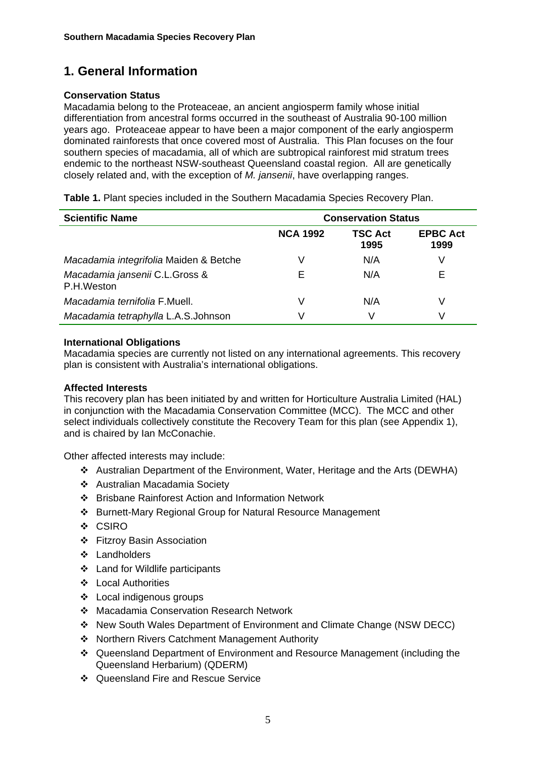# **1. General Information**

#### **Conservation Status**

Macadamia belong to the Proteaceae, an ancient angiosperm family whose initial differentiation from ancestral forms occurred in the southeast of Australia 90-100 million years ago. Proteaceae appear to have been a major component of the early angiosperm dominated rainforests that once covered most of Australia. This Plan focuses on the four southern species of macadamia, all of which are subtropical rainforest mid stratum trees endemic to the northeast NSW-southeast Queensland coastal region. All are genetically closely related and, with the exception of *M. jansenii*, have overlapping ranges.

| Table 1. Plant species included in the Southern Macadamia Species Recovery Plan. |  |  |  |  |  |  |  |
|----------------------------------------------------------------------------------|--|--|--|--|--|--|--|
|----------------------------------------------------------------------------------|--|--|--|--|--|--|--|

| <b>Scientific Name</b>                       | <b>Conservation Status</b> |                 |                         |  |
|----------------------------------------------|----------------------------|-----------------|-------------------------|--|
|                                              | <b>NCA 1992</b>            | TSC Act<br>1995 | <b>EPBC Act</b><br>1999 |  |
| Macadamia integrifolia Maiden & Betche       |                            | N/A             | V                       |  |
| Macadamia jansenii C.L.Gross &<br>P.H.Weston | F                          | N/A             | Е                       |  |
| Macadamia ternifolia F.Muell.                | V                          | N/A             | V                       |  |
| Macadamia tetraphylla L.A.S.Johnson          |                            | $\sqrt{ }$      | V                       |  |

#### **International Obligations**

Macadamia species are currently not listed on any international agreements. This recovery plan is consistent with Australia's international obligations.

#### **Affected Interests**

This recovery plan has been initiated by and written for Horticulture Australia Limited (HAL) in conjunction with the Macadamia Conservation Committee (MCC). The MCC and other select individuals collectively constitute the Recovery Team for this plan (see Appendix 1), and is chaired by Ian McConachie.

Other affected interests may include:

- Australian Department of the Environment, Water, Heritage and the Arts (DEWHA)
- Australian Macadamia Society
- Brisbane Rainforest Action and Information Network
- Burnett-Mary Regional Group for Natural Resource Management
- ❖ CSIRO
- Fitzroy Basin Association
- Landholders
- Land for Wildlife participants
- Local Authorities
- Local indigenous groups
- Macadamia Conservation Research Network
- New South Wales Department of Environment and Climate Change (NSW DECC)
- Northern Rivers Catchment Management Authority
- Queensland Department of Environment and Resource Management (including the Queensland Herbarium) (QDERM)
- ❖ Queensland Fire and Rescue Service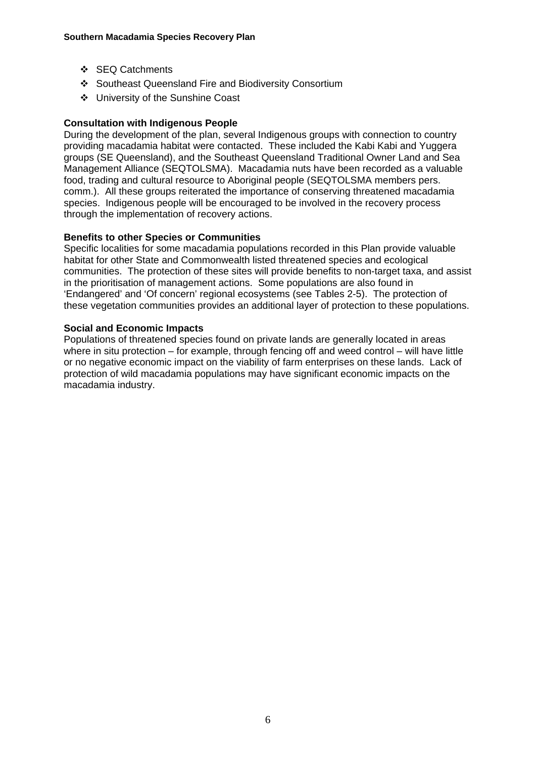- ❖ SEQ Catchments
- Southeast Queensland Fire and Biodiversity Consortium
- University of the Sunshine Coast

#### **Consultation with Indigenous People**

During the development of the plan, several Indigenous groups with connection to country providing macadamia habitat were contacted. These included the Kabi Kabi and Yuggera groups (SE Queensland), and the Southeast Queensland Traditional Owner Land and Sea Management Alliance (SEQTOLSMA). Macadamia nuts have been recorded as a valuable food, trading and cultural resource to Aboriginal people (SEQTOLSMA members pers. comm.). All these groups reiterated the importance of conserving threatened macadamia species. Indigenous people will be encouraged to be involved in the recovery process through the implementation of recovery actions.

#### **Benefits to other Species or Communities**

Specific localities for some macadamia populations recorded in this Plan provide valuable habitat for other State and Commonwealth listed threatened species and ecological communities. The protection of these sites will provide benefits to non-target taxa, and assist in the prioritisation of management actions. Some populations are also found in 'Endangered' and 'Of concern' regional ecosystems (see Tables 2-5). The protection of these vegetation communities provides an additional layer of protection to these populations.

#### **Social and Economic Impacts**

Populations of threatened species found on private lands are generally located in areas where in situ protection – for example, through fencing off and weed control – will have little or no negative economic impact on the viability of farm enterprises on these lands. Lack of protection of wild macadamia populations may have significant economic impacts on the macadamia industry.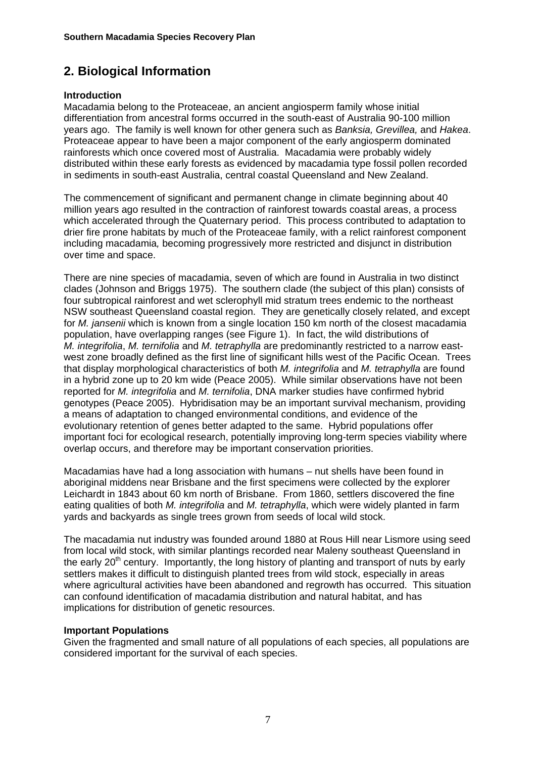# **2. Biological Information**

#### **Introduction**

Macadamia belong to the Proteaceae, an ancient angiosperm family whose initial differentiation from ancestral forms occurred in the south-east of Australia 90-100 million years ago. The family is well known for other genera such as *Banksia, Grevillea,* and *Hakea*. Proteaceae appear to have been a major component of the early angiosperm dominated rainforests which once covered most of Australia. Macadamia were probably widely distributed within these early forests as evidenced by macadamia type fossil pollen recorded in sediments in south-east Australia, central coastal Queensland and New Zealand.

The commencement of significant and permanent change in climate beginning about 40 million years ago resulted in the contraction of rainforest towards coastal areas, a process which accelerated through the Quaternary period. This process contributed to adaptation to drier fire prone habitats by much of the Proteaceae family, with a relict rainforest component including macadamia*,* becoming progressively more restricted and disjunct in distribution over time and space.

There are nine species of macadamia, seven of which are found in Australia in two distinct clades (Johnson and Briggs 1975). The southern clade (the subject of this plan) consists of four subtropical rainforest and wet sclerophyll mid stratum trees endemic to the northeast NSW southeast Queensland coastal region. They are genetically closely related, and except for *M. jansenii* which is known from a single location 150 km north of the closest macadamia population, have overlapping ranges (see Figure 1). In fact, the wild distributions of *M. integrifolia*, *M. ternifolia* and *M. tetraphylla* are predominantly restricted to a narrow eastwest zone broadly defined as the first line of significant hills west of the Pacific Ocean. Trees that display morphological characteristics of both *M. integrifolia* and *M. tetraphylla* are found in a hybrid zone up to 20 km wide (Peace 2005). While similar observations have not been reported for *M. integrifolia* and *M. ternifolia*, DNA marker studies have confirmed hybrid genotypes (Peace 2005). Hybridisation may be an important survival mechanism, providing a means of adaptation to changed environmental conditions, and evidence of the evolutionary retention of genes better adapted to the same. Hybrid populations offer important foci for ecological research, potentially improving long-term species viability where overlap occurs, and therefore may be important conservation priorities.

Macadamias have had a long association with humans – nut shells have been found in aboriginal middens near Brisbane and the first specimens were collected by the explorer Leichardt in 1843 about 60 km north of Brisbane. From 1860, settlers discovered the fine eating qualities of both *M. integrifolia* and *M. tetraphylla*, which were widely planted in farm yards and backyards as single trees grown from seeds of local wild stock.

The macadamia nut industry was founded around 1880 at Rous Hill near Lismore using seed from local wild stock, with similar plantings recorded near Maleny southeast Queensland in the early  $20<sup>th</sup>$  century. Importantly, the long history of planting and transport of nuts by early settlers makes it difficult to distinguish planted trees from wild stock, especially in areas where agricultural activities have been abandoned and regrowth has occurred. This situation can confound identification of macadamia distribution and natural habitat, and has implications for distribution of genetic resources.

#### **Important Populations**

Given the fragmented and small nature of all populations of each species, all populations are considered important for the survival of each species.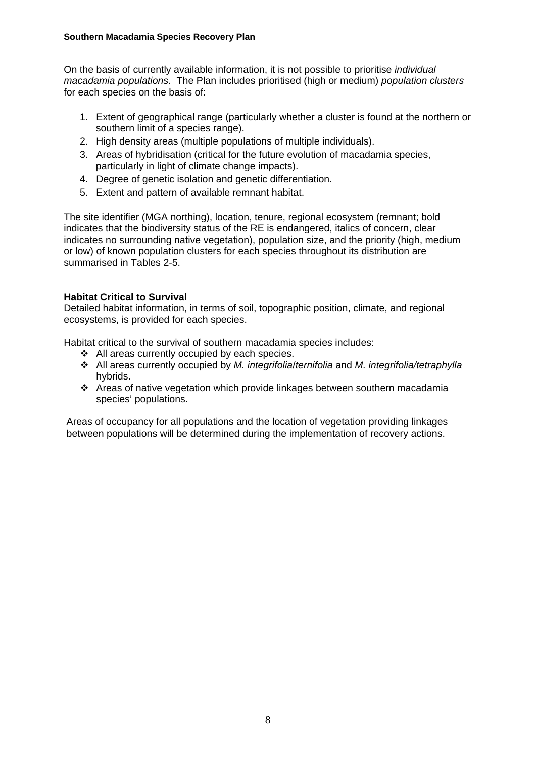#### **Southern Macadamia Species Recovery Plan**

On the basis of currently available information, it is not possible to prioritise *individual macadamia populations*. The Plan includes prioritised (high or medium) *population clusters*  for each species on the basis of:

- 1. Extent of geographical range (particularly whether a cluster is found at the northern or southern limit of a species range).
- 2. High density areas (multiple populations of multiple individuals).
- 3. Areas of hybridisation (critical for the future evolution of macadamia species, particularly in light of climate change impacts).
- 4. Degree of genetic isolation and genetic differentiation.
- 5. Extent and pattern of available remnant habitat.

The site identifier (MGA northing), location, tenure, regional ecosystem (remnant; bold indicates that the biodiversity status of the RE is endangered, italics of concern, clear indicates no surrounding native vegetation), population size, and the priority (high, medium or low) of known population clusters for each species throughout its distribution are summarised in Tables 2-5.

#### **Habitat Critical to Survival**

Detailed habitat information, in terms of soil, topographic position, climate, and regional ecosystems, is provided for each species.

Habitat critical to the survival of southern macadamia species includes:

- ❖ All areas currently occupied by each species.
- All areas currently occupied by *M. integrifolia*/*ternifolia* and *M. integrifolia/tetraphylla* hybrids.
- Areas of native vegetation which provide linkages between southern macadamia species' populations.

Areas of occupancy for all populations and the location of vegetation providing linkages between populations will be determined during the implementation of recovery actions.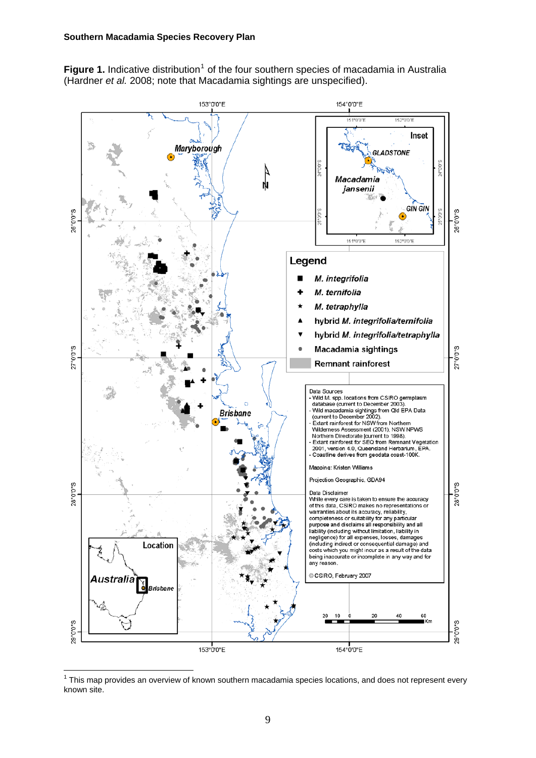Figure [1](#page-8-0). Indicative distribution<sup>1</sup> of the four southern species of macadamia in Australia (Hardner *et al.* 2008; note that Macadamia sightings are unspecified).



<span id="page-8-0"></span> $1$  This map provides an overview of known southern macadamia species locations, and does not represent every known site.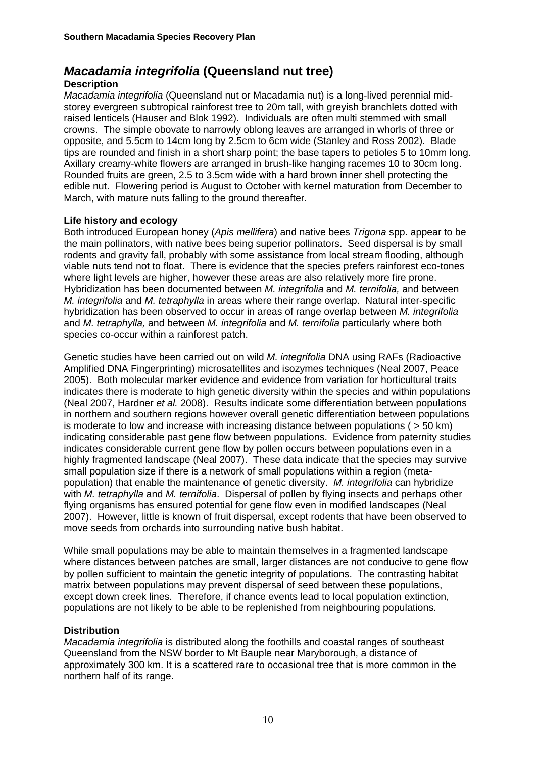## *Macadamia integrifolia* **(Queensland nut tree)**

#### **Description**

*Macadamia integrifolia* (Queensland nut or Macadamia nut) is a long-lived perennial midstorey evergreen subtropical rainforest tree to 20m tall, with greyish branchlets dotted with raised lenticels (Hauser and Blok 1992). Individuals are often multi stemmed with small crowns. The simple obovate to narrowly oblong leaves are arranged in whorls of three or opposite, and 5.5cm to 14cm long by 2.5cm to 6cm wide (Stanley and Ross 2002). Blade tips are rounded and finish in a short sharp point; the base tapers to petioles 5 to 10mm long. Axillary creamy-white flowers are arranged in brush-like hanging racemes 10 to 30cm long. Rounded fruits are green, 2.5 to 3.5cm wide with a hard brown inner shell protecting the edible nut. Flowering period is August to October with kernel maturation from December to March, with mature nuts falling to the ground thereafter.

#### **Life history and ecology**

Both introduced European honey (*Apis mellifera*) and native bees *Trigona* spp. appear to be the main pollinators, with native bees being superior pollinators. Seed dispersal is by small rodents and gravity fall, probably with some assistance from local stream flooding, although viable nuts tend not to float. There is evidence that the species prefers rainforest eco-tones where light levels are higher, however these areas are also relatively more fire prone. Hybridization has been documented between *M. integrifolia* and *M. ternifolia,* and between *M. integrifolia* and *M. tetraphylla* in areas where their range overlap. Natural inter-specific hybridization has been observed to occur in areas of range overlap between *M. integrifolia* and *M. tetraphylla,* and between *M. integrifolia* and *M. ternifolia* particularly where both species co-occur within a rainforest patch.

Genetic studies have been carried out on wild *M. integrifolia* DNA using RAFs (Radioactive Amplified DNA Fingerprinting) microsatellites and isozymes techniques (Neal 2007, Peace 2005). Both molecular marker evidence and evidence from variation for horticultural traits indicates there is moderate to high genetic diversity within the species and within populations (Neal 2007, Hardner *et al.* 2008). Results indicate some differentiation between populations in northern and southern regions however overall genetic differentiation between populations is moderate to low and increase with increasing distance between populations ( $>$  50 km) indicating considerable past gene flow between populations. Evidence from paternity studies indicates considerable current gene flow by pollen occurs between populations even in a highly fragmented landscape (Neal 2007). These data indicate that the species may survive small population size if there is a network of small populations within a region (metapopulation) that enable the maintenance of genetic diversity. *M. integrifolia* can hybridize with *M. tetraphylla* and *M. ternifolia*. Dispersal of pollen by flying insects and perhaps other flying organisms has ensured potential for gene flow even in modified landscapes (Neal 2007). However, little is known of fruit dispersal, except rodents that have been observed to move seeds from orchards into surrounding native bush habitat.

While small populations may be able to maintain themselves in a fragmented landscape where distances between patches are small, larger distances are not conducive to gene flow by pollen sufficient to maintain the genetic integrity of populations. The contrasting habitat matrix between populations may prevent dispersal of seed between these populations, except down creek lines. Therefore, if chance events lead to local population extinction, populations are not likely to be able to be replenished from neighbouring populations.

#### **Distribution**

*Macadamia integrifolia* is distributed along the foothills and coastal ranges of southeast Queensland from the NSW border to Mt Bauple near Maryborough, a distance of approximately 300 km. It is a scattered rare to occasional tree that is more common in the northern half of its range.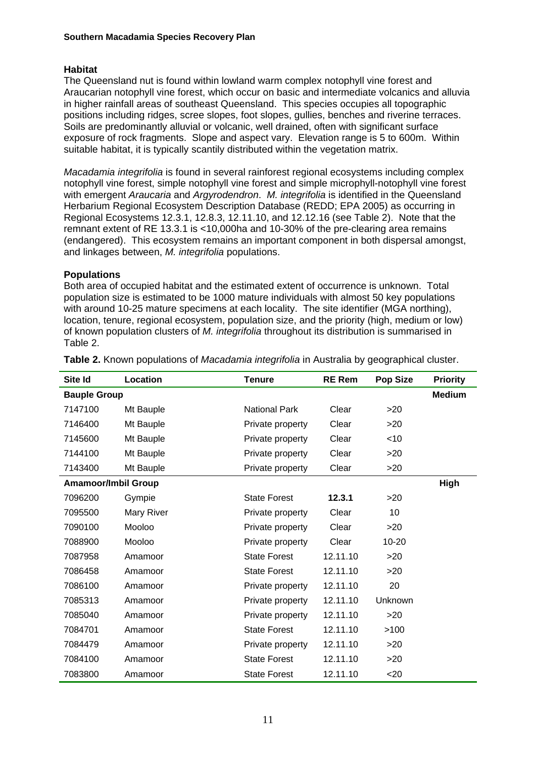#### **Habitat**

The Queensland nut is found within lowland warm complex notophyll vine forest and Araucarian notophyll vine forest, which occur on basic and intermediate volcanics and alluvia in higher rainfall areas of southeast Queensland. This species occupies all topographic positions including ridges, scree slopes, foot slopes, gullies, benches and riverine terraces. Soils are predominantly alluvial or volcanic, well drained, often with significant surface exposure of rock fragments. Slope and aspect vary. Elevation range is 5 to 600m. Within suitable habitat, it is typically scantily distributed within the vegetation matrix.

*Macadamia integrifolia* is found in several rainforest regional ecosystems including complex notophyll vine forest, simple notophyll vine forest and simple microphyll-notophyll vine forest with emergent *Araucaria* and *Argyrodendron*. *M. integrifolia* is identified in the Queensland Herbarium Regional Ecosystem Description Database (REDD; EPA 2005) as occurring in Regional Ecosystems 12.3.1, 12.8.3, 12.11.10, and 12.12.16 (see Table 2). Note that the remnant extent of RE 13.3.1 is <10,000ha and 10-30% of the pre-clearing area remains (endangered). This ecosystem remains an important component in both dispersal amongst, and linkages between, *M. integrifolia* populations.

#### **Populations**

Both area of occupied habitat and the estimated extent of occurrence is unknown. Total population size is estimated to be 1000 mature individuals with almost 50 key populations with around 10-25 mature specimens at each locality. The site identifier (MGA northing), location, tenure, regional ecosystem, population size, and the priority (high, medium or low) of known population clusters of *M. integrifolia* throughout its distribution is summarised in Table 2.

| Site Id                    | Location   | <b>Tenure</b>        | <b>RE Rem</b> | <b>Pop Size</b> | <b>Priority</b> |
|----------------------------|------------|----------------------|---------------|-----------------|-----------------|
| <b>Bauple Group</b>        |            |                      |               |                 | <b>Medium</b>   |
| 7147100                    | Mt Bauple  | <b>National Park</b> | Clear         | >20             |                 |
| 7146400                    | Mt Bauple  | Private property     | Clear         | >20             |                 |
| 7145600                    | Mt Bauple  | Private property     | Clear         | < 10            |                 |
| 7144100                    | Mt Bauple  | Private property     | Clear         | >20             |                 |
| 7143400                    | Mt Bauple  | Private property     | Clear         | >20             |                 |
| <b>Amamoor/Imbil Group</b> |            |                      |               |                 | High            |
| 7096200                    | Gympie     | <b>State Forest</b>  | 12.3.1        | >20             |                 |
| 7095500                    | Mary River | Private property     | Clear         | 10              |                 |
| 7090100                    | Mooloo     | Private property     | Clear         | >20             |                 |
| 7088900                    | Mooloo     | Private property     | Clear         | $10 - 20$       |                 |
| 7087958                    | Amamoor    | <b>State Forest</b>  | 12.11.10      | >20             |                 |
| 7086458                    | Amamoor    | <b>State Forest</b>  | 12.11.10      | >20             |                 |
| 7086100                    | Amamoor    | Private property     | 12.11.10      | 20              |                 |
| 7085313                    | Amamoor    | Private property     | 12.11.10      | Unknown         |                 |
| 7085040                    | Amamoor    | Private property     | 12.11.10      | >20             |                 |
| 7084701                    | Amamoor    | <b>State Forest</b>  | 12.11.10      | >100            |                 |
| 7084479                    | Amamoor    | Private property     | 12.11.10      | >20             |                 |
| 7084100                    | Amamoor    | <b>State Forest</b>  | 12.11.10      | >20             |                 |
| 7083800                    | Amamoor    | <b>State Forest</b>  | 12.11.10      | $20$            |                 |

**Table 2.** Known populations of *Macadamia integrifolia* in Australia by geographical cluster.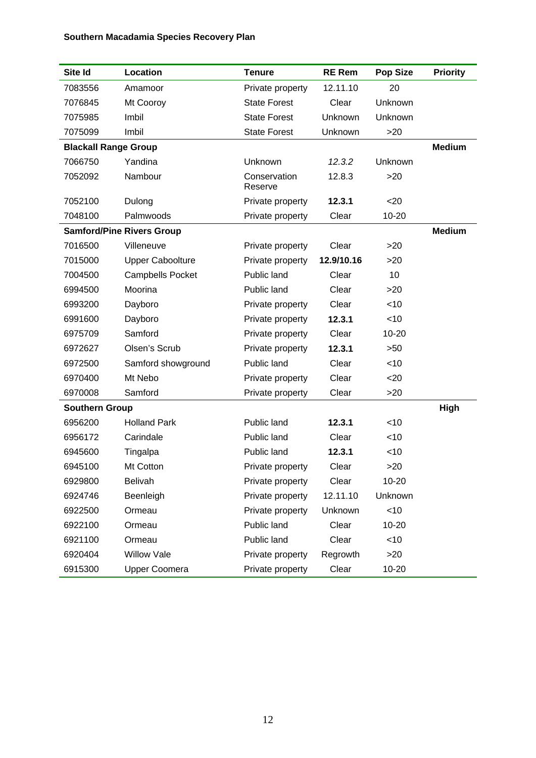## **Southern Macadamia Species Recovery Plan**

| Site Id                     | Location                         | <b>Tenure</b>           | <b>RE Rem</b> | <b>Pop Size</b> | <b>Priority</b> |
|-----------------------------|----------------------------------|-------------------------|---------------|-----------------|-----------------|
| 7083556                     | Amamoor                          | Private property        | 12.11.10      | 20              |                 |
| 7076845                     | Mt Cooroy                        | <b>State Forest</b>     | Clear         | Unknown         |                 |
| 7075985                     | Imbil                            | <b>State Forest</b>     | Unknown       | Unknown         |                 |
| 7075099                     | Imbil                            | <b>State Forest</b>     | Unknown       | >20             |                 |
| <b>Blackall Range Group</b> |                                  |                         |               |                 | <b>Medium</b>   |
| 7066750                     | Yandina                          | Unknown                 | 12.3.2        | Unknown         |                 |
| 7052092                     | Nambour                          | Conservation<br>Reserve | 12.8.3        | >20             |                 |
| 7052100                     | Dulong                           | Private property        | 12.3.1        | $20$            |                 |
| 7048100                     | Palmwoods                        | Private property        | Clear         | $10 - 20$       |                 |
|                             | <b>Samford/Pine Rivers Group</b> |                         |               |                 | <b>Medium</b>   |
| 7016500                     | Villeneuve                       | Private property        | Clear         | >20             |                 |
| 7015000                     | <b>Upper Caboolture</b>          | Private property        | 12.9/10.16    | >20             |                 |
| 7004500                     | <b>Campbells Pocket</b>          | Public land             | Clear         | 10              |                 |
| 6994500                     | Moorina                          | Public land             | Clear         | >20             |                 |
| 6993200                     | Dayboro                          | Private property        | Clear         | < 10            |                 |
| 6991600                     | Dayboro                          | Private property        | 12.3.1        | <10             |                 |
| 6975709                     | Samford                          | Private property        | Clear         | $10 - 20$       |                 |
| 6972627                     | Olsen's Scrub                    | Private property        | 12.3.1        | >50             |                 |
| 6972500                     | Samford showground               | Public land             | Clear         | < 10            |                 |
| 6970400                     | Mt Nebo                          | Private property        | Clear         | $20$            |                 |
| 6970008                     | Samford                          | Private property        | Clear         | >20             |                 |
| <b>Southern Group</b>       |                                  |                         |               |                 | High            |
| 6956200                     | <b>Holland Park</b>              | Public land             | 12.3.1        | $<$ 10          |                 |
| 6956172                     | Carindale                        | Public land             | Clear         | $<$ 10          |                 |
| 6945600                     | Tingalpa                         | Public land             | 12.3.1        | $<$ 10          |                 |
| 6945100                     | Mt Cotton                        | Private property        | Clear         | >20             |                 |
| 6929800                     | <b>Belivah</b>                   | Private property        | Clear         | 10-20           |                 |
| 6924746                     | Beenleigh                        | Private property        | 12.11.10      | Unknown         |                 |
| 6922500                     | Ormeau                           | Private property        | Unknown       | $<$ 10          |                 |
| 6922100                     | Ormeau                           | Public land             | Clear         | 10-20           |                 |
| 6921100                     | Ormeau                           | Public land             | Clear         | $<$ 10          |                 |
| 6920404                     | <b>Willow Vale</b>               | Private property        | Regrowth      | >20             |                 |
| 6915300                     | <b>Upper Coomera</b>             | Private property        | Clear         | 10-20           |                 |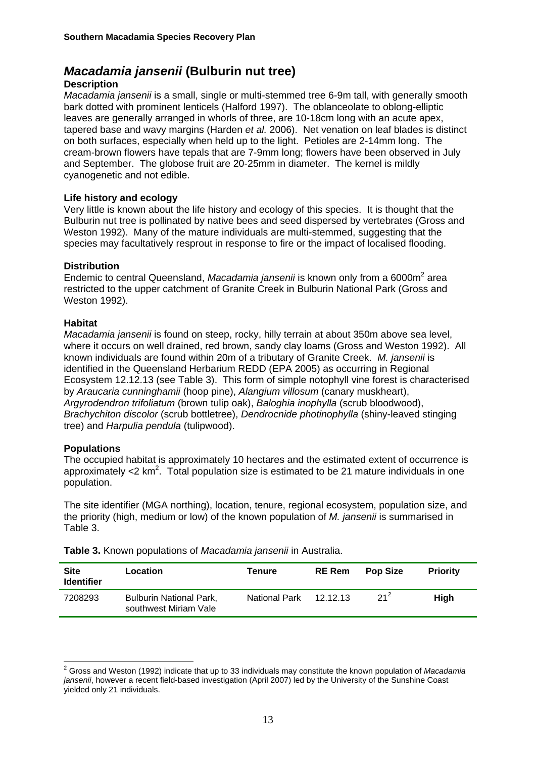## *Macadamia jansenii* **(Bulburin nut tree)**

#### **Description**

*Macadamia jansenii* is a small, single or multi-stemmed tree 6-9m tall, with generally smooth bark dotted with prominent lenticels (Halford 1997). The oblanceolate to oblong-elliptic leaves are generally arranged in whorls of three, are 10-18cm long with an acute apex, tapered base and wavy margins (Harden *et al.* 2006). Net venation on leaf blades is distinct on both surfaces, especially when held up to the light. Petioles are 2-14mm long. The cream-brown flowers have tepals that are 7-9mm long; flowers have been observed in July and September. The globose fruit are 20-25mm in diameter. The kernel is mildly cyanogenetic and not edible.

#### **Life history and ecology**

Very little is known about the life history and ecology of this species. It is thought that the Bulburin nut tree is pollinated by native bees and seed dispersed by vertebrates (Gross and Weston 1992). Many of the mature individuals are multi-stemmed, suggesting that the species may facultatively resprout in response to fire or the impact of localised flooding.

#### **Distribution**

Endemic to central Queensland, Macadamia jansenii is known only from a 6000m<sup>2</sup> area restricted to the upper catchment of Granite Creek in Bulburin National Park (Gross and Weston 1992).

#### **Habitat**

*Macadamia jansenii* is found on steep, rocky, hilly terrain at about 350m above sea level, where it occurs on well drained, red brown, sandy clay loams (Gross and Weston 1992). All known individuals are found within 20m of a tributary of Granite Creek. *M. jansenii* is identified in the Queensland Herbarium REDD (EPA 2005) as occurring in Regional Ecosystem 12.12.13 (see Table 3). This form of simple notophyll vine forest is characterised by *Araucaria cunninghamii* (hoop pine), *Alangium villosum* (canary muskheart), *Argyrodendron trifoliatum* (brown tulip oak), *Baloghia inophylla* (scrub bloodwood), *Brachychiton discolor* (scrub bottletree), *Dendrocnide photinophylla* (shiny-leaved stinging tree) and *Harpulia pendula* (tulipwood).

#### **Populations**

1

The occupied habitat is approximately 10 hectares and the estimated extent of occurrence is approximately <2  $km^2$ . Total population size is estimated to be 21 mature individuals in one population.

The site identifier (MGA northing), location, tenure, regional ecosystem, population size, and the priority (high, medium or low) of the known population of *M. jansenii* is summarised in Table 3.

| <b>Site</b><br><b>Identifier</b> | Location                                                | Tenure                 | <b>RE</b> Rem | <b>Pop Size</b> | <b>Priority</b> |
|----------------------------------|---------------------------------------------------------|------------------------|---------------|-----------------|-----------------|
| 7208293                          | <b>Bulburin National Park,</b><br>southwest Miriam Vale | National Park 12.12.13 |               | $21^2$          | <b>High</b>     |

**Table 3.** Known populations of *Macadamia jansenii* in Australia.

<span id="page-12-0"></span><sup>2</sup> Gross and Weston (1992) indicate that up to 33 individuals may constitute the known population of *Macadamia jansenii*, however a recent field-based investigation (April 2007) led by the University of the Sunshine Coast yielded only 21 individuals.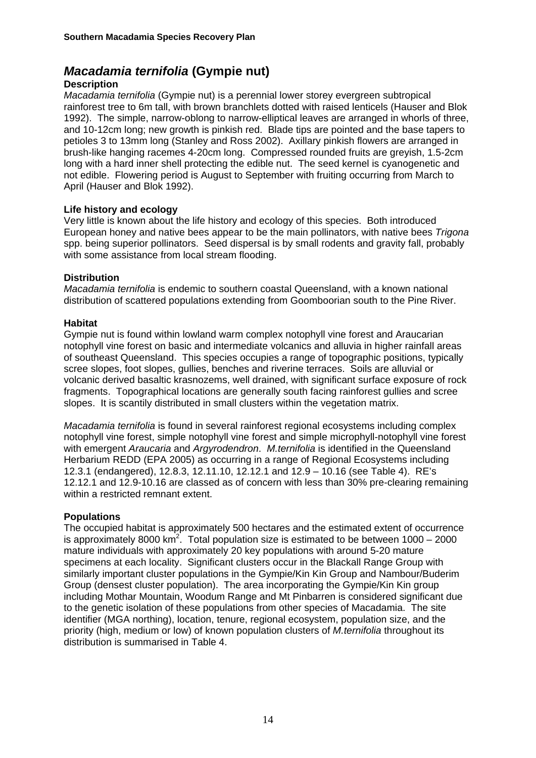## *Macadamia ternifolia* **(Gympie nut)**

#### **Description**

*Macadamia ternifolia* (Gympie nut) is a perennial lower storey evergreen subtropical rainforest tree to 6m tall, with brown branchlets dotted with raised lenticels (Hauser and Blok 1992). The simple, narrow-oblong to narrow-elliptical leaves are arranged in whorls of three, and 10-12cm long; new growth is pinkish red. Blade tips are pointed and the base tapers to petioles 3 to 13mm long (Stanley and Ross 2002). Axillary pinkish flowers are arranged in brush-like hanging racemes 4-20cm long. Compressed rounded fruits are greyish, 1.5-2cm long with a hard inner shell protecting the edible nut. The seed kernel is cyanogenetic and not edible. Flowering period is August to September with fruiting occurring from March to April (Hauser and Blok 1992).

#### **Life history and ecology**

Very little is known about the life history and ecology of this species. Both introduced European honey and native bees appear to be the main pollinators, with native bees *Trigona* spp. being superior pollinators. Seed dispersal is by small rodents and gravity fall, probably with some assistance from local stream flooding.

#### **Distribution**

*Macadamia ternifolia* is endemic to southern coastal Queensland, with a known national distribution of scattered populations extending from Goomboorian south to the Pine River.

#### **Habitat**

Gympie nut is found within lowland warm complex notophyll vine forest and Araucarian notophyll vine forest on basic and intermediate volcanics and alluvia in higher rainfall areas of southeast Queensland. This species occupies a range of topographic positions, typically scree slopes, foot slopes, gullies, benches and riverine terraces. Soils are alluvial or volcanic derived basaltic krasnozems, well drained, with significant surface exposure of rock fragments. Topographical locations are generally south facing rainforest gullies and scree slopes. It is scantily distributed in small clusters within the vegetation matrix.

*Macadamia ternifolia* is found in several rainforest regional ecosystems including complex notophyll vine forest, simple notophyll vine forest and simple microphyll-notophyll vine forest with emergent *Araucaria* and *Argyrodendron*. *M.ternifolia* is identified in the Queensland Herbarium REDD (EPA 2005) as occurring in a range of Regional Ecosystems including 12.3.1 (endangered), 12.8.3, 12.11.10, 12.12.1 and 12.9 – 10.16 (see Table 4). RE's 12.12.1 and 12.9-10.16 are classed as of concern with less than 30% pre-clearing remaining within a restricted remnant extent.

#### **Populations**

The occupied habitat is approximately 500 hectares and the estimated extent of occurrence is approximately 8000 km<sup>2</sup>. Total population size is estimated to be between 1000 – 2000 mature individuals with approximately 20 key populations with around 5-20 mature specimens at each locality. Significant clusters occur in the Blackall Range Group with similarly important cluster populations in the Gympie/Kin Kin Group and Nambour/Buderim Group (densest cluster population). The area incorporating the Gympie/Kin Kin group including Mothar Mountain, Woodum Range and Mt Pinbarren is considered significant due to the genetic isolation of these populations from other species of Macadamia. The site identifier (MGA northing), location, tenure, regional ecosystem, population size, and the priority (high, medium or low) of known population clusters of *M.ternifolia* throughout its distribution is summarised in Table 4.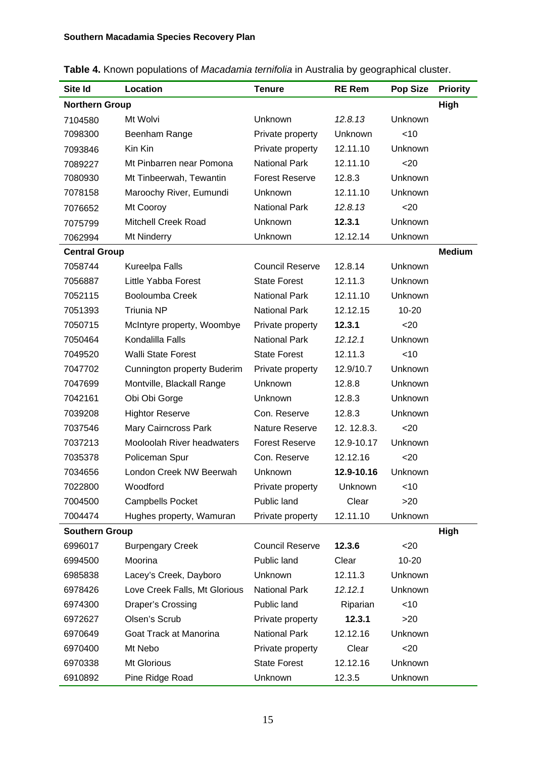| Site Id               | Location                      | <b>Tenure</b>          | <b>RE Rem</b> | <b>Pop Size</b> | <b>Priority</b> |
|-----------------------|-------------------------------|------------------------|---------------|-----------------|-----------------|
| <b>Northern Group</b> |                               |                        |               |                 | High            |
| 7104580               | Mt Wolvi                      | Unknown                | 12.8.13       | Unknown         |                 |
| 7098300               | Beenham Range                 | Private property       | Unknown       | $<$ 10          |                 |
| 7093846               | Kin Kin                       | Private property       | 12.11.10      | Unknown         |                 |
| 7089227               | Mt Pinbarren near Pomona      | <b>National Park</b>   | 12.11.10      | $20$            |                 |
| 7080930               | Mt Tinbeerwah, Tewantin       | <b>Forest Reserve</b>  | 12.8.3        | Unknown         |                 |
| 7078158               | Maroochy River, Eumundi       | Unknown                | 12.11.10      | Unknown         |                 |
| 7076652               | Mt Cooroy                     | <b>National Park</b>   | 12.8.13       | $20$            |                 |
| 7075799               | <b>Mitchell Creek Road</b>    | Unknown                | 12.3.1        | Unknown         |                 |
| 7062994               | Mt Ninderry                   | Unknown                | 12.12.14      | Unknown         |                 |
| <b>Central Group</b>  |                               |                        |               |                 | <b>Medium</b>   |
| 7058744               | Kureelpa Falls                | <b>Council Reserve</b> | 12.8.14       | Unknown         |                 |
| 7056887               | Little Yabba Forest           | <b>State Forest</b>    | 12.11.3       | Unknown         |                 |
| 7052115               | Booloumba Creek               | <b>National Park</b>   | 12.11.10      | Unknown         |                 |
| 7051393               | <b>Triunia NP</b>             | <b>National Park</b>   | 12.12.15      | $10 - 20$       |                 |
| 7050715               | McIntyre property, Woombye    | Private property       | 12.3.1        | $20$            |                 |
| 7050464               | Kondalilla Falls              | <b>National Park</b>   | 12.12.1       | Unknown         |                 |
| 7049520               | <b>Walli State Forest</b>     | <b>State Forest</b>    | 12.11.3       | < 10            |                 |
| 7047702               | Cunnington property Buderim   | Private property       | 12.9/10.7     | Unknown         |                 |
| 7047699               | Montville, Blackall Range     | Unknown                | 12.8.8        | Unknown         |                 |
| 7042161               | Obi Obi Gorge                 | Unknown                | 12.8.3        | Unknown         |                 |
| 7039208               | <b>Hightor Reserve</b>        | Con. Reserve           | 12.8.3        | Unknown         |                 |
| 7037546               | Mary Cairncross Park          | <b>Nature Reserve</b>  | 12.12.8.3.    | $20$            |                 |
| 7037213               | Mooloolah River headwaters    | <b>Forest Reserve</b>  | 12.9-10.17    | Unknown         |                 |
| 7035378               | Policeman Spur                | Con. Reserve           | 12.12.16      | $20$            |                 |
| 7034656               | London Creek NW Beerwah       | Unknown                | 12.9-10.16    | Unknown         |                 |
| 7022800               | Woodford                      | Private property       | Unknown       | $<$ 10          |                 |
| 7004500               | <b>Campbells Pocket</b>       | Public land            | Clear         | >20             |                 |
| 7004474               | Hughes property, Wamuran      | Private property       | 12.11.10      | Unknown         |                 |
| <b>Southern Group</b> |                               |                        |               |                 | High            |
| 6996017               | <b>Burpengary Creek</b>       | <b>Council Reserve</b> | 12.3.6        | $20$            |                 |
| 6994500               | Moorina                       | Public land            | Clear         | 10-20           |                 |
| 6985838               | Lacey's Creek, Dayboro        | Unknown                | 12.11.3       | Unknown         |                 |
| 6978426               | Love Creek Falls, Mt Glorious | <b>National Park</b>   | 12.12.1       | Unknown         |                 |
| 6974300               | Draper's Crossing             | Public land            | Riparian      | $<$ 10          |                 |
| 6972627               | Olsen's Scrub                 | Private property       | 12.3.1        | >20             |                 |
| 6970649               | Goat Track at Manorina        | <b>National Park</b>   | 12.12.16      | Unknown         |                 |
| 6970400               | Mt Nebo                       | Private property       | Clear         | $20$            |                 |
| 6970338               | Mt Glorious                   | <b>State Forest</b>    | 12.12.16      | Unknown         |                 |
| 6910892               | Pine Ridge Road               | Unknown                | 12.3.5        | Unknown         |                 |

|  |  | Table 4. Known populations of Macadamia ternifolia in Australia by geographical cluster. |
|--|--|------------------------------------------------------------------------------------------|
|  |  |                                                                                          |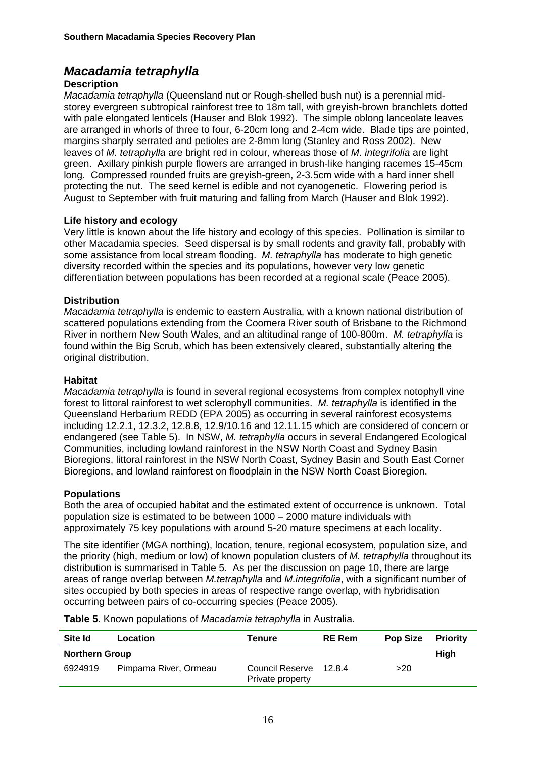## *Macadamia tetraphylla*

#### **Description**

*Macadamia tetraphylla* (Queensland nut or Rough-shelled bush nut) is a perennial midstorey evergreen subtropical rainforest tree to 18m tall, with greyish-brown branchlets dotted with pale elongated lenticels (Hauser and Blok 1992). The simple oblong lanceolate leaves are arranged in whorls of three to four, 6-20cm long and 2-4cm wide. Blade tips are pointed, margins sharply serrated and petioles are 2-8mm long (Stanley and Ross 2002). New leaves of *M. tetraphylla* are bright red in colour, whereas those of *M. integrifolia* are light green. Axillary pinkish purple flowers are arranged in brush-like hanging racemes 15-45cm long. Compressed rounded fruits are greyish-green, 2-3.5cm wide with a hard inner shell protecting the nut. The seed kernel is edible and not cyanogenetic. Flowering period is August to September with fruit maturing and falling from March (Hauser and Blok 1992).

#### **Life history and ecology**

Very little is known about the life history and ecology of this species. Pollination is similar to other Macadamia species. Seed dispersal is by small rodents and gravity fall, probably with some assistance from local stream flooding. *M. tetraphylla* has moderate to high genetic diversity recorded within the species and its populations, however very low genetic differentiation between populations has been recorded at a regional scale (Peace 2005).

#### **Distribution**

*Macadamia tetraphylla* is endemic to eastern Australia, with a known national distribution of scattered populations extending from the Coomera River south of Brisbane to the Richmond River in northern New South Wales, and an altitudinal range of 100-800m. *M. tetraphylla* is found within the Big Scrub, which has been extensively cleared, substantially altering the original distribution.

#### **Habitat**

*Macadamia tetraphylla* is found in several regional ecosystems from complex notophyll vine forest to littoral rainforest to wet sclerophyll communities. *M. tetraphylla* is identified in the Queensland Herbarium REDD (EPA 2005) as occurring in several rainforest ecosystems including 12.2.1, 12.3.2, 12.8.8, 12.9/10.16 and 12.11.15 which are considered of concern or endangered (see Table 5). In NSW, *M. tetraphylla* occurs in several Endangered Ecological Communities, including lowland rainforest in the NSW North Coast and Sydney Basin Bioregions, littoral rainforest in the NSW North Coast, Sydney Basin and South East Corner Bioregions, and lowland rainforest on floodplain in the NSW North Coast Bioregion.

#### **Populations**

Both the area of occupied habitat and the estimated extent of occurrence is unknown. Total population size is estimated to be between 1000 – 2000 mature individuals with approximately 75 key populations with around 5-20 mature specimens at each locality.

The site identifier (MGA northing), location, tenure, regional ecosystem, population size, and the priority (high, medium or low) of known population clusters of *M. tetraphylla* throughout its distribution is summarised in Table 5. As per the discussion on page 10, there are large areas of range overlap between *M.tetraphylla* and *M.integrifolia*, with a significant number of sites occupied by both species in areas of respective range overlap, with hybridisation occurring between pairs of co-occurring species (Peace 2005).

**Table 5.** Known populations of *Macadamia tetraphylla* in Australia.

| Site Id               | Location              | Tenure                              | <b>RE</b> Rem | <b>Pop Size</b> | <b>Priority</b> |
|-----------------------|-----------------------|-------------------------------------|---------------|-----------------|-----------------|
| <b>Northern Group</b> |                       |                                     |               |                 | High            |
| 6924919               | Pimpama River, Ormeau | Council Reserve<br>Private property | 1284          | >20             |                 |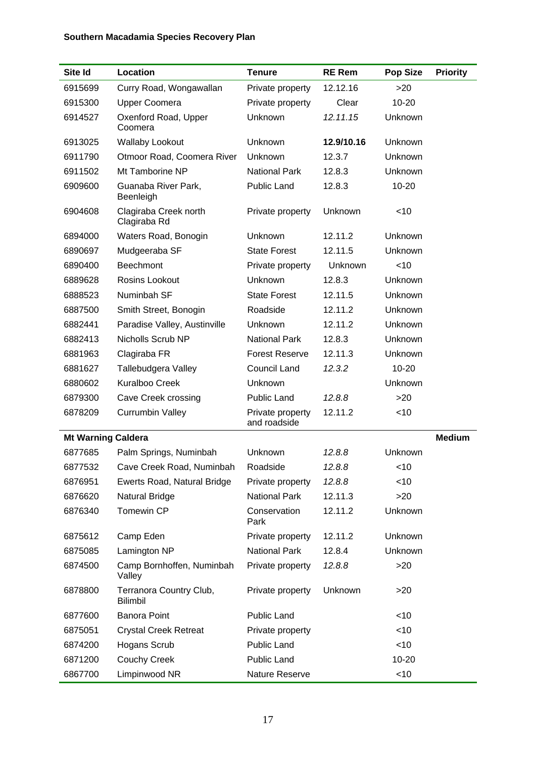## **Southern Macadamia Species Recovery Plan**

| Site Id                   | Location                                   | <b>Tenure</b>                    | <b>RE Rem</b> | <b>Pop Size</b> | <b>Priority</b> |
|---------------------------|--------------------------------------------|----------------------------------|---------------|-----------------|-----------------|
| 6915699                   | Curry Road, Wongawallan                    | Private property                 | 12.12.16      | >20             |                 |
| 6915300                   | <b>Upper Coomera</b>                       | Private property                 | Clear         | 10-20           |                 |
| 6914527                   | Oxenford Road, Upper<br>Coomera            | Unknown                          | 12.11.15      | Unknown         |                 |
| 6913025                   | <b>Wallaby Lookout</b>                     | Unknown                          | 12.9/10.16    | Unknown         |                 |
| 6911790                   | Otmoor Road, Coomera River                 | Unknown                          | 12.3.7        | Unknown         |                 |
| 6911502                   | Mt Tamborine NP                            | <b>National Park</b>             | 12.8.3        | Unknown         |                 |
| 6909600                   | Guanaba River Park,<br>Beenleigh           | <b>Public Land</b>               | 12.8.3        | $10 - 20$       |                 |
| 6904608                   | Clagiraba Creek north<br>Clagiraba Rd      | Private property                 | Unknown       | $<$ 10          |                 |
| 6894000                   | Waters Road, Bonogin                       | Unknown                          | 12.11.2       | Unknown         |                 |
| 6890697                   | Mudgeeraba SF                              | <b>State Forest</b>              | 12.11.5       | Unknown         |                 |
| 6890400                   | <b>Beechmont</b>                           | Private property                 | Unknown       | < 10            |                 |
| 6889628                   | Rosins Lookout                             | Unknown                          | 12.8.3        | Unknown         |                 |
| 6888523                   | Numinbah SF                                | <b>State Forest</b>              | 12.11.5       | Unknown         |                 |
| 6887500                   | Smith Street, Bonogin                      | Roadside                         | 12.11.2       | Unknown         |                 |
| 6882441                   | Paradise Valley, Austinville               | Unknown                          | 12.11.2       | Unknown         |                 |
| 6882413                   | Nicholls Scrub NP                          | <b>National Park</b>             | 12.8.3        | Unknown         |                 |
| 6881963                   | Clagiraba FR                               | <b>Forest Reserve</b>            | 12.11.3       | Unknown         |                 |
| 6881627                   | Tallebudgera Valley                        | <b>Council Land</b>              | 12.3.2        | 10-20           |                 |
| 6880602                   | <b>Kuralboo Creek</b>                      | Unknown                          |               | Unknown         |                 |
| 6879300                   | Cave Creek crossing                        | Public Land                      | 12.8.8        | >20             |                 |
| 6878209                   | <b>Currumbin Valley</b>                    | Private property<br>and roadside | 12.11.2       | $<$ 10          |                 |
| <b>Mt Warning Caldera</b> |                                            |                                  |               |                 | <b>Medium</b>   |
| 6877685                   | Palm Springs, Numinbah                     | Unknown                          | 12.8.8        | Unknown         |                 |
| 6877532                   | Cave Creek Road, Numinbah                  | Roadside                         | 12.8.8        | $<$ 10          |                 |
| 6876951                   | Ewerts Road, Natural Bridge                | Private property                 | 12.8.8        | $<$ 10          |                 |
| 6876620                   | Natural Bridge                             | <b>National Park</b>             | 12.11.3       | >20             |                 |
| 6876340                   | Tomewin CP                                 | Conservation<br>Park             | 12.11.2       | Unknown         |                 |
| 6875612                   | Camp Eden                                  | Private property                 | 12.11.2       | Unknown         |                 |
| 6875085                   | Lamington NP                               | <b>National Park</b>             | 12.8.4        | Unknown         |                 |
| 6874500                   | Camp Bornhoffen, Numinbah<br>Valley        | Private property                 | 12.8.8        | >20             |                 |
| 6878800                   | Terranora Country Club,<br><b>Bilimbil</b> | Private property                 | Unknown       | >20             |                 |
| 6877600                   | Banora Point                               | Public Land                      |               | $<$ 10          |                 |
| 6875051                   | <b>Crystal Creek Retreat</b>               | Private property                 |               | $<$ 10          |                 |
| 6874200                   | <b>Hogans Scrub</b>                        | Public Land                      |               | $<$ 10          |                 |
| 6871200                   | <b>Couchy Creek</b>                        | <b>Public Land</b>               |               | 10-20           |                 |
| 6867700                   | Limpinwood NR                              | Nature Reserve                   |               | $<$ 10          |                 |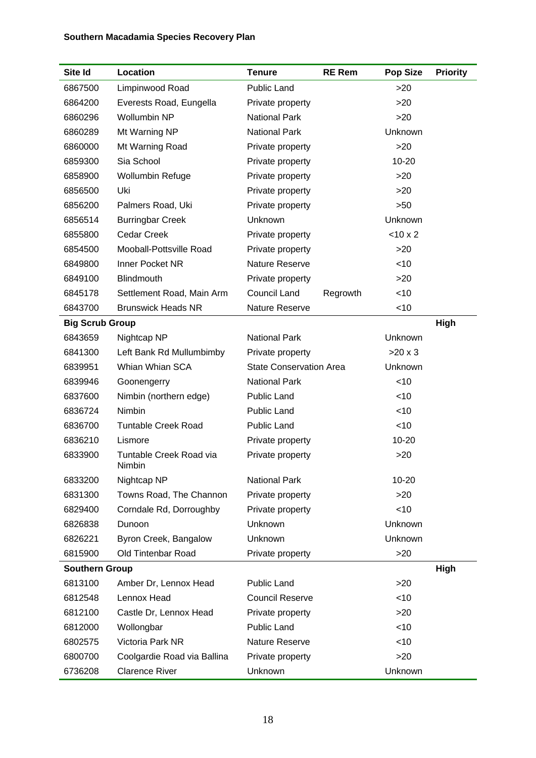## **Southern Macadamia Species Recovery Plan**

| Site Id                | Location                          | <b>Tenure</b>                  | <b>RE Rem</b> | <b>Pop Size</b> | <b>Priority</b> |
|------------------------|-----------------------------------|--------------------------------|---------------|-----------------|-----------------|
| 6867500                | Limpinwood Road                   | <b>Public Land</b>             |               | >20             |                 |
| 6864200                | Everests Road, Eungella           | Private property               |               | >20             |                 |
| 6860296                | <b>Wollumbin NP</b>               | <b>National Park</b>           |               | >20             |                 |
| 6860289                | Mt Warning NP                     | <b>National Park</b>           |               | Unknown         |                 |
| 6860000                | Mt Warning Road                   | Private property               |               | >20             |                 |
| 6859300                | Sia School                        | Private property               |               | $10 - 20$       |                 |
| 6858900                | <b>Wollumbin Refuge</b>           | Private property               |               | >20             |                 |
| 6856500                | Uki                               | Private property               |               | >20             |                 |
| 6856200                | Palmers Road, Uki                 | Private property               |               | >50             |                 |
| 6856514                | <b>Burringbar Creek</b>           | Unknown                        |               | Unknown         |                 |
| 6855800                | <b>Cedar Creek</b>                | Private property               |               | $<$ 10 x 2      |                 |
| 6854500                | Mooball-Pottsville Road           | Private property               |               | >20             |                 |
| 6849800                | Inner Pocket NR                   | Nature Reserve                 |               | $<$ 10          |                 |
| 6849100                | Blindmouth                        | Private property               |               | >20             |                 |
| 6845178                | Settlement Road, Main Arm         | <b>Council Land</b>            | Regrowth      | <10             |                 |
| 6843700                | <b>Brunswick Heads NR</b>         | Nature Reserve                 |               | $<$ 10          |                 |
| <b>Big Scrub Group</b> |                                   |                                |               |                 | High            |
| 6843659                | Nightcap NP                       | <b>National Park</b>           |               | Unknown         |                 |
| 6841300                | Left Bank Rd Mullumbimby          | Private property               |               | $>20 \times 3$  |                 |
| 6839951                | Whian Whian SCA                   | <b>State Conservation Area</b> |               | Unknown         |                 |
| 6839946                | Goonengerry                       | <b>National Park</b>           |               | $<$ 10          |                 |
| 6837600                | Nimbin (northern edge)            | Public Land                    |               | <10             |                 |
| 6836724                | Nimbin                            | <b>Public Land</b>             |               | $<$ 10          |                 |
| 6836700                | <b>Tuntable Creek Road</b>        | Public Land                    |               | $<$ 10          |                 |
| 6836210                | Lismore                           | Private property               |               | 10-20           |                 |
| 6833900                | Tuntable Creek Road via<br>Nimbin | Private property               |               | >20             |                 |
| 6833200                | Nightcap NP                       | <b>National Park</b>           |               | 10-20           |                 |
| 6831300                | Towns Road, The Channon           | Private property               |               | >20             |                 |
| 6829400                | Corndale Rd, Dorroughby           | Private property               |               | <10             |                 |
| 6826838                | Dunoon                            | Unknown                        |               | Unknown         |                 |
| 6826221                | Byron Creek, Bangalow             | Unknown                        |               | Unknown         |                 |
| 6815900                | <b>Old Tintenbar Road</b>         | Private property               |               | >20             |                 |
| <b>Southern Group</b>  |                                   |                                |               |                 | High            |
| 6813100                | Amber Dr, Lennox Head             | <b>Public Land</b>             |               | >20             |                 |
| 6812548                | Lennox Head                       | <b>Council Reserve</b>         |               | $<$ 10          |                 |
| 6812100                | Castle Dr, Lennox Head            | Private property               |               | >20             |                 |
| 6812000                | Wollongbar                        | <b>Public Land</b>             |               | <10             |                 |
| 6802575                | Victoria Park NR                  | Nature Reserve                 |               | <10             |                 |
| 6800700                | Coolgardie Road via Ballina       | Private property               |               | >20             |                 |
| 6736208                | <b>Clarence River</b>             | Unknown                        |               | Unknown         |                 |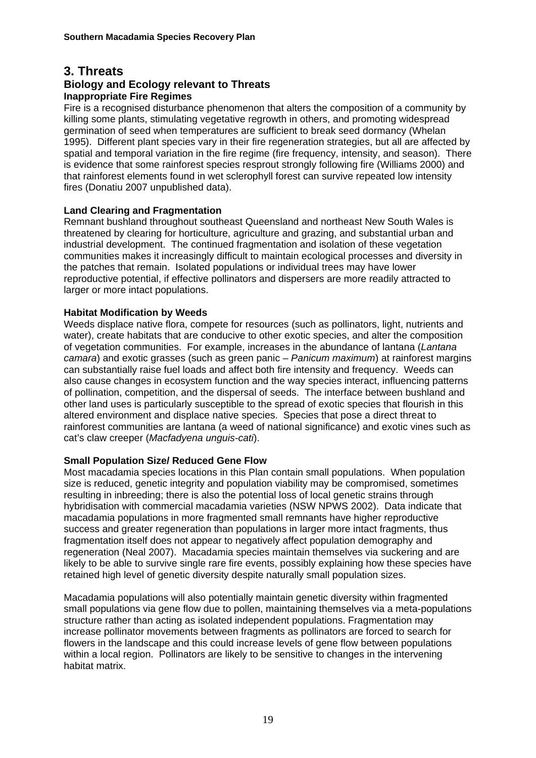## **3. Threats**

#### **Biology and Ecology relevant to Threats Inappropriate Fire Regimes**

Fire is a recognised disturbance phenomenon that alters the composition of a community by killing some plants, stimulating vegetative regrowth in others, and promoting widespread germination of seed when temperatures are sufficient to break seed dormancy (Whelan 1995). Different plant species vary in their fire regeneration strategies, but all are affected by spatial and temporal variation in the fire regime (fire frequency, intensity, and season). There is evidence that some rainforest species resprout strongly following fire (Williams 2000) and that rainforest elements found in wet sclerophyll forest can survive repeated low intensity fires (Donatiu 2007 unpublished data).

#### **Land Clearing and Fragmentation**

Remnant bushland throughout southeast Queensland and northeast New South Wales is threatened by clearing for horticulture, agriculture and grazing, and substantial urban and industrial development. The continued fragmentation and isolation of these vegetation communities makes it increasingly difficult to maintain ecological processes and diversity in the patches that remain. Isolated populations or individual trees may have lower reproductive potential, if effective pollinators and dispersers are more readily attracted to larger or more intact populations.

#### **Habitat Modification by Weeds**

Weeds displace native flora, compete for resources (such as pollinators, light, nutrients and water), create habitats that are conducive to other exotic species, and alter the composition of vegetation communities. For example, increases in the abundance of lantana (*Lantana camara*) and exotic grasses (such as green panic – *Panicum maximum*) at rainforest margins can substantially raise fuel loads and affect both fire intensity and frequency. Weeds can also cause changes in ecosystem function and the way species interact, influencing patterns of pollination, competition, and the dispersal of seeds. The interface between bushland and other land uses is particularly susceptible to the spread of exotic species that flourish in this altered environment and displace native species. Species that pose a direct threat to rainforest communities are lantana (a weed of national significance) and exotic vines such as cat's claw creeper (*Macfadyena unguis-cati*).

#### **Small Population Size/ Reduced Gene Flow**

Most macadamia species locations in this Plan contain small populations. When population size is reduced, genetic integrity and population viability may be compromised, sometimes resulting in inbreeding; there is also the potential loss of local genetic strains through hybridisation with commercial macadamia varieties (NSW NPWS 2002). Data indicate that macadamia populations in more fragmented small remnants have higher reproductive success and greater regeneration than populations in larger more intact fragments, thus fragmentation itself does not appear to negatively affect population demography and regeneration (Neal 2007). Macadamia species maintain themselves via suckering and are likely to be able to survive single rare fire events, possibly explaining how these species have retained high level of genetic diversity despite naturally small population sizes.

Macadamia populations will also potentially maintain genetic diversity within fragmented small populations via gene flow due to pollen, maintaining themselves via a meta-populations structure rather than acting as isolated independent populations. Fragmentation may increase pollinator movements between fragments as pollinators are forced to search for flowers in the landscape and this could increase levels of gene flow between populations within a local region. Pollinators are likely to be sensitive to changes in the intervening habitat matrix.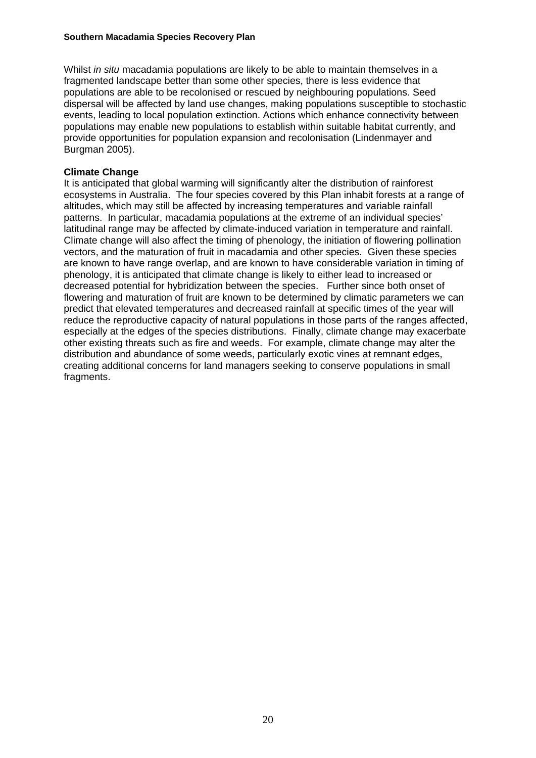Whilst *in situ* macadamia populations are likely to be able to maintain themselves in a fragmented landscape better than some other species, there is less evidence that populations are able to be recolonised or rescued by neighbouring populations. Seed dispersal will be affected by land use changes, making populations susceptible to stochastic events, leading to local population extinction. Actions which enhance connectivity between populations may enable new populations to establish within suitable habitat currently, and provide opportunities for population expansion and recolonisation (Lindenmayer and Burgman 2005).

#### **Climate Change**

It is anticipated that global warming will significantly alter the distribution of rainforest ecosystems in Australia. The four species covered by this Plan inhabit forests at a range of altitudes, which may still be affected by increasing temperatures and variable rainfall patterns. In particular, macadamia populations at the extreme of an individual species' latitudinal range may be affected by climate-induced variation in temperature and rainfall. Climate change will also affect the timing of phenology, the initiation of flowering pollination vectors, and the maturation of fruit in macadamia and other species. Given these species are known to have range overlap, and are known to have considerable variation in timing of phenology, it is anticipated that climate change is likely to either lead to increased or decreased potential for hybridization between the species. Further since both onset of flowering and maturation of fruit are known to be determined by climatic parameters we can predict that elevated temperatures and decreased rainfall at specific times of the year will reduce the reproductive capacity of natural populations in those parts of the ranges affected, especially at the edges of the species distributions. Finally, climate change may exacerbate other existing threats such as fire and weeds. For example, climate change may alter the distribution and abundance of some weeds, particularly exotic vines at remnant edges, creating additional concerns for land managers seeking to conserve populations in small fragments.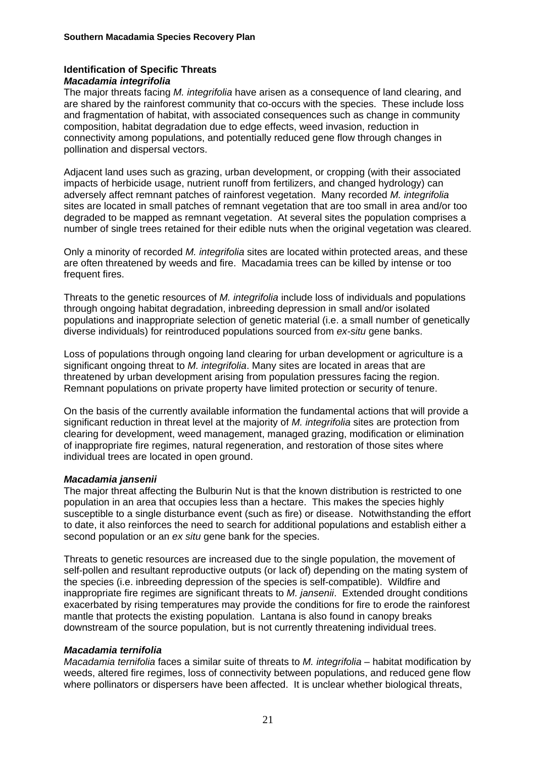#### **Identification of Specific Threats**  *Macadamia integrifolia*

The major threats facing *M. integrifolia* have arisen as a consequence of land clearing, and are shared by the rainforest community that co-occurs with the species. These include loss and fragmentation of habitat, with associated consequences such as change in community composition, habitat degradation due to edge effects, weed invasion, reduction in connectivity among populations, and potentially reduced gene flow through changes in pollination and dispersal vectors.

Adjacent land uses such as grazing, urban development, or cropping (with their associated impacts of herbicide usage, nutrient runoff from fertilizers, and changed hydrology) can adversely affect remnant patches of rainforest vegetation. Many recorded *M. integrifolia* sites are located in small patches of remnant vegetation that are too small in area and/or too degraded to be mapped as remnant vegetation. At several sites the population comprises a number of single trees retained for their edible nuts when the original vegetation was cleared.

Only a minority of recorded *M. integrifolia* sites are located within protected areas, and these are often threatened by weeds and fire. Macadamia trees can be killed by intense or too frequent fires.

Threats to the genetic resources of *M. integrifolia* include loss of individuals and populations through ongoing habitat degradation, inbreeding depression in small and/or isolated populations and inappropriate selection of genetic material (i.e. a small number of genetically diverse individuals) for reintroduced populations sourced from *ex-situ* gene banks.

Loss of populations through ongoing land clearing for urban development or agriculture is a significant ongoing threat to *M. integrifolia*. Many sites are located in areas that are threatened by urban development arising from population pressures facing the region. Remnant populations on private property have limited protection or security of tenure.

On the basis of the currently available information the fundamental actions that will provide a significant reduction in threat level at the majority of *M. integrifolia* sites are protection from clearing for development, weed management, managed grazing, modification or elimination of inappropriate fire regimes, natural regeneration, and restoration of those sites where individual trees are located in open ground.

#### *Macadamia jansenii*

The major threat affecting the Bulburin Nut is that the known distribution is restricted to one population in an area that occupies less than a hectare. This makes the species highly susceptible to a single disturbance event (such as fire) or disease. Notwithstanding the effort to date, it also reinforces the need to search for additional populations and establish either a second population or an *ex situ* gene bank for the species.

Threats to genetic resources are increased due to the single population, the movement of self-pollen and resultant reproductive outputs (or lack of) depending on the mating system of the species (i.e. inbreeding depression of the species is self-compatible). Wildfire and inappropriate fire regimes are significant threats to *M. jansenii*. Extended drought conditions exacerbated by rising temperatures may provide the conditions for fire to erode the rainforest mantle that protects the existing population. Lantana is also found in canopy breaks downstream of the source population, but is not currently threatening individual trees.

#### *Macadamia ternifolia*

*Macadamia ternifolia* faces a similar suite of threats to *M. integrifolia* – habitat modification by weeds, altered fire regimes, loss of connectivity between populations, and reduced gene flow where pollinators or dispersers have been affected. It is unclear whether biological threats,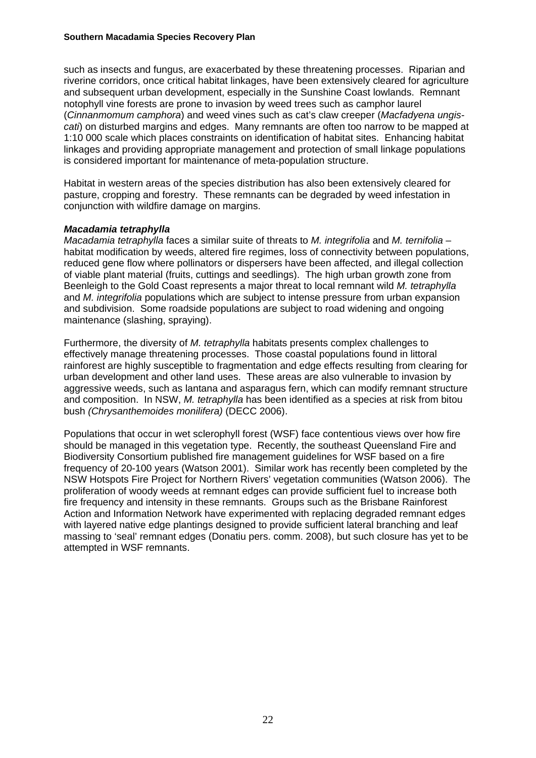#### **Southern Macadamia Species Recovery Plan**

such as insects and fungus, are exacerbated by these threatening processes. Riparian and riverine corridors, once critical habitat linkages, have been extensively cleared for agriculture and subsequent urban development, especially in the Sunshine Coast lowlands. Remnant notophyll vine forests are prone to invasion by weed trees such as camphor laurel (*Cinnanmomum camphora*) and weed vines such as cat's claw creeper (*Macfadyena ungiscati*) on disturbed margins and edges. Many remnants are often too narrow to be mapped at 1:10 000 scale which places constraints on identification of habitat sites. Enhancing habitat linkages and providing appropriate management and protection of small linkage populations is considered important for maintenance of meta-population structure.

Habitat in western areas of the species distribution has also been extensively cleared for pasture, cropping and forestry. These remnants can be degraded by weed infestation in conjunction with wildfire damage on margins.

#### *Macadamia tetraphylla*

*Macadamia tetraphylla* faces a similar suite of threats to *M. integrifolia* and *M. ternifolia* – habitat modification by weeds, altered fire regimes, loss of connectivity between populations, reduced gene flow where pollinators or dispersers have been affected, and illegal collection of viable plant material (fruits, cuttings and seedlings). The high urban growth zone from Beenleigh to the Gold Coast represents a major threat to local remnant wild *M. tetraphylla* and *M. integrifolia* populations which are subject to intense pressure from urban expansion and subdivision. Some roadside populations are subject to road widening and ongoing maintenance (slashing, spraying).

Furthermore, the diversity of *M. tetraphylla* habitats presents complex challenges to effectively manage threatening processes. Those coastal populations found in littoral rainforest are highly susceptible to fragmentation and edge effects resulting from clearing for urban development and other land uses. These areas are also vulnerable to invasion by aggressive weeds, such as lantana and asparagus fern, which can modify remnant structure and composition. In NSW, *M. tetraphylla* has been identified as a species at risk from bitou bush *(Chrysanthemoides monilifera)* (DECC 2006).

Populations that occur in wet sclerophyll forest (WSF) face contentious views over how fire should be managed in this vegetation type. Recently, the southeast Queensland Fire and Biodiversity Consortium published fire management guidelines for WSF based on a fire frequency of 20-100 years (Watson 2001). Similar work has recently been completed by the NSW Hotspots Fire Project for Northern Rivers' vegetation communities (Watson 2006). The proliferation of woody weeds at remnant edges can provide sufficient fuel to increase both fire frequency and intensity in these remnants. Groups such as the Brisbane Rainforest Action and Information Network have experimented with replacing degraded remnant edges with layered native edge plantings designed to provide sufficient lateral branching and leaf massing to 'seal' remnant edges (Donatiu pers. comm. 2008), but such closure has yet to be attempted in WSF remnants.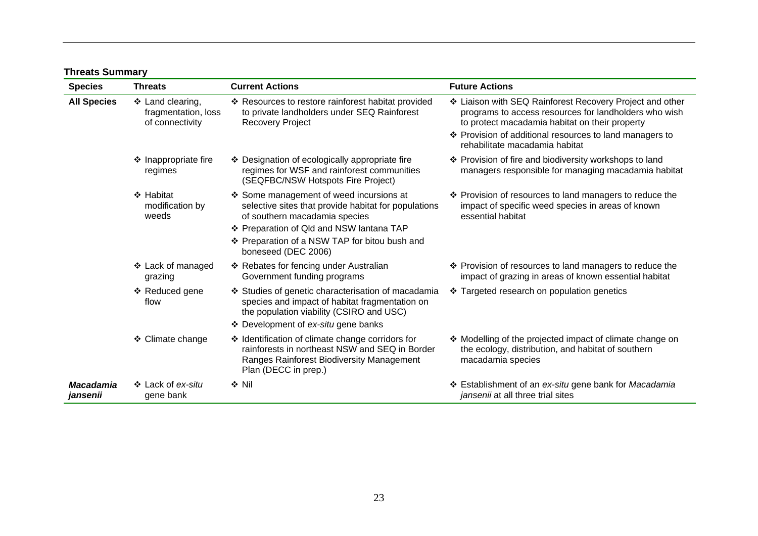| <b>Species</b>               | <b>Threats</b>                                             | <b>Current Actions</b>                                                                                                                                                                                                                             | <b>Future Actions</b>                                                                                                                                                                                                                                            |
|------------------------------|------------------------------------------------------------|----------------------------------------------------------------------------------------------------------------------------------------------------------------------------------------------------------------------------------------------------|------------------------------------------------------------------------------------------------------------------------------------------------------------------------------------------------------------------------------------------------------------------|
| <b>All Species</b>           | ❖ Land clearing,<br>fragmentation, loss<br>of connectivity | ❖ Resources to restore rainforest habitat provided<br>to private landholders under SEQ Rainforest<br><b>Recovery Project</b>                                                                                                                       | ❖ Liaison with SEQ Rainforest Recovery Project and other<br>programs to access resources for landholders who wish<br>to protect macadamia habitat on their property<br>❖ Provision of additional resources to land managers to<br>rehabilitate macadamia habitat |
|                              | ❖ Inappropriate fire<br>regimes                            | ❖ Designation of ecologically appropriate fire<br>regimes for WSF and rainforest communities<br>(SEQFBC/NSW Hotspots Fire Project)                                                                                                                 | ❖ Provision of fire and biodiversity workshops to land<br>managers responsible for managing macadamia habitat                                                                                                                                                    |
|                              | ❖ Habitat<br>modification by<br>weeds                      | Some management of weed incursions at<br>selective sites that provide habitat for populations<br>of southern macadamia species<br>❖ Preparation of Qld and NSW lantana TAP<br>❖ Preparation of a NSW TAP for bitou bush and<br>boneseed (DEC 2006) | ❖ Provision of resources to land managers to reduce the<br>impact of specific weed species in areas of known<br>essential habitat                                                                                                                                |
|                              | ❖ Lack of managed<br>grazing                               | ❖ Rebates for fencing under Australian<br>Government funding programs                                                                                                                                                                              | ❖ Provision of resources to land managers to reduce the<br>impact of grazing in areas of known essential habitat                                                                                                                                                 |
|                              | ❖ Reduced gene<br>flow                                     | ❖ Studies of genetic characterisation of macadamia<br>species and impact of habitat fragmentation on<br>the population viability (CSIRO and USC)<br>❖ Development of ex-situ gene banks                                                            | ❖ Targeted research on population genetics                                                                                                                                                                                                                       |
|                              | ❖ Climate change                                           | ❖ Identification of climate change corridors for<br>rainforests in northeast NSW and SEQ in Border<br>Ranges Rainforest Biodiversity Management<br>Plan (DECC in prep.)                                                                            | ❖ Modelling of the projected impact of climate change on<br>the ecology, distribution, and habitat of southern<br>macadamia species                                                                                                                              |
| <b>Macadamia</b><br>jansenii | ❖ Lack of ex-situ<br>gene bank                             | $\div$ Nil                                                                                                                                                                                                                                         | ❖ Establishment of an ex-situ gene bank for Macadamia<br>jansenii at all three trial sites                                                                                                                                                                       |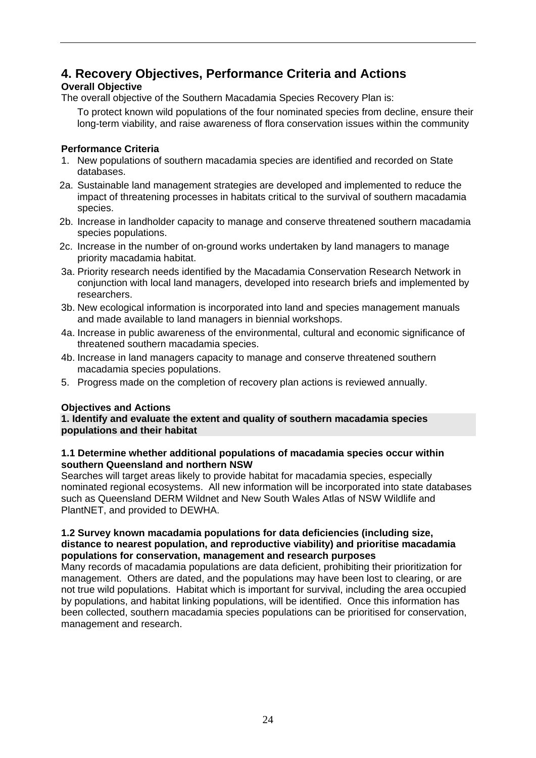# **4. Recovery Objectives, Performance Criteria and Actions**

## **Overall Objective**

The overall objective of the Southern Macadamia Species Recovery Plan is:

To protect known wild populations of the four nominated species from decline, ensure their long-term viability, and raise awareness of flora conservation issues within the community

## **Performance Criteria**

- 1. New populations of southern macadamia species are identified and recorded on State databases.
- 2a. Sustainable land management strategies are developed and implemented to reduce the impact of threatening processes in habitats critical to the survival of southern macadamia species.
- 2b. Increase in landholder capacity to manage and conserve threatened southern macadamia species populations.
- 2c. Increase in the number of on-ground works undertaken by land managers to manage priority macadamia habitat.
- 3a. Priority research needs identified by the Macadamia Conservation Research Network in conjunction with local land managers, developed into research briefs and implemented by researchers.
- 3b. New ecological information is incorporated into land and species management manuals and made available to land managers in biennial workshops.
- 4a. Increase in public awareness of the environmental, cultural and economic significance of threatened southern macadamia species.
- 4b. Increase in land managers capacity to manage and conserve threatened southern macadamia species populations.
- 5. Progress made on the completion of recovery plan actions is reviewed annually.

#### **Objectives and Actions**

#### **1. Identify and evaluate the extent and quality of southern macadamia species populations and their habitat**

#### **1.1 Determine whether additional populations of macadamia species occur within southern Queensland and northern NSW**

Searches will target areas likely to provide habitat for macadamia species, especially nominated regional ecosystems. All new information will be incorporated into state databases such as Queensland DERM Wildnet and New South Wales Atlas of NSW Wildlife and PlantNET, and provided to DEWHA.

#### **1.2 Survey known macadamia populations for data deficiencies (including size, distance to nearest population, and reproductive viability) and prioritise macadamia populations for conservation, management and research purposes**

Many records of macadamia populations are data deficient, prohibiting their prioritization for management. Others are dated, and the populations may have been lost to clearing, or are not true wild populations. Habitat which is important for survival, including the area occupied by populations, and habitat linking populations, will be identified. Once this information has been collected, southern macadamia species populations can be prioritised for conservation, management and research.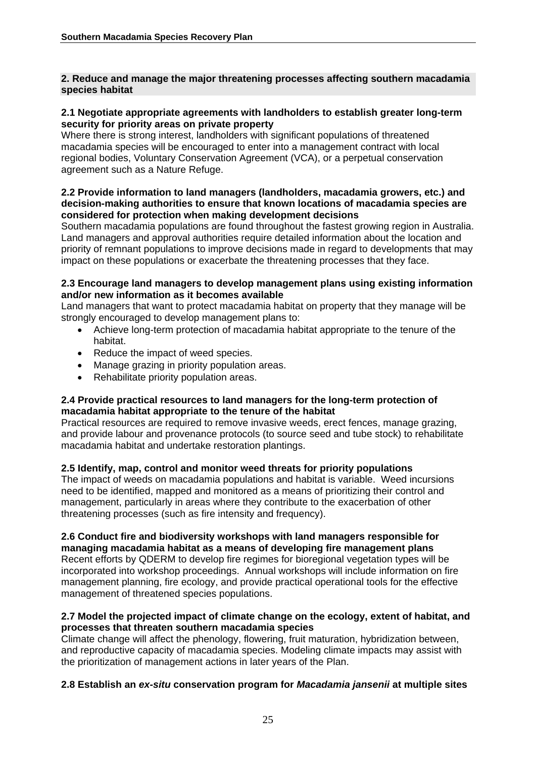#### **2. Reduce and manage the major threatening processes affecting southern macadamia species habitat**

#### **2.1 Negotiate appropriate agreements with landholders to establish greater long-term security for priority areas on private property**

Where there is strong interest, landholders with significant populations of threatened macadamia species will be encouraged to enter into a management contract with local regional bodies, Voluntary Conservation Agreement (VCA), or a perpetual conservation agreement such as a Nature Refuge.

#### **2.2 Provide information to land managers (landholders, macadamia growers, etc.) and decision-making authorities to ensure that known locations of macadamia species are considered for protection when making development decisions**

Southern macadamia populations are found throughout the fastest growing region in Australia. Land managers and approval authorities require detailed information about the location and priority of remnant populations to improve decisions made in regard to developments that may impact on these populations or exacerbate the threatening processes that they face.

#### **2.3 Encourage land managers to develop management plans using existing information and/or new information as it becomes available**

Land managers that want to protect macadamia habitat on property that they manage will be strongly encouraged to develop management plans to:

- Achieve long-term protection of macadamia habitat appropriate to the tenure of the habitat.
- Reduce the impact of weed species.
- Manage grazing in priority population areas.
- Rehabilitate priority population areas.

#### **2.4 Provide practical resources to land managers for the long-term protection of macadamia habitat appropriate to the tenure of the habitat**

Practical resources are required to remove invasive weeds, erect fences, manage grazing, and provide labour and provenance protocols (to source seed and tube stock) to rehabilitate macadamia habitat and undertake restoration plantings.

#### **2.5 Identify, map, control and monitor weed threats for priority populations**

The impact of weeds on macadamia populations and habitat is variable. Weed incursions need to be identified, mapped and monitored as a means of prioritizing their control and management, particularly in areas where they contribute to the exacerbation of other threatening processes (such as fire intensity and frequency).

#### **2.6 Conduct fire and biodiversity workshops with land managers responsible for managing macadamia habitat as a means of developing fire management plans**

Recent efforts by QDERM to develop fire regimes for bioregional vegetation types will be incorporated into workshop proceedings. Annual workshops will include information on fire management planning, fire ecology, and provide practical operational tools for the effective management of threatened species populations.

#### **2.7 Model the projected impact of climate change on the ecology, extent of habitat, and processes that threaten southern macadamia species**

Climate change will affect the phenology, flowering, fruit maturation, hybridization between, and reproductive capacity of macadamia species. Modeling climate impacts may assist with the prioritization of management actions in later years of the Plan.

#### **2.8 Establish an** *ex-situ* **conservation program for** *Macadamia jansenii* **at multiple sites**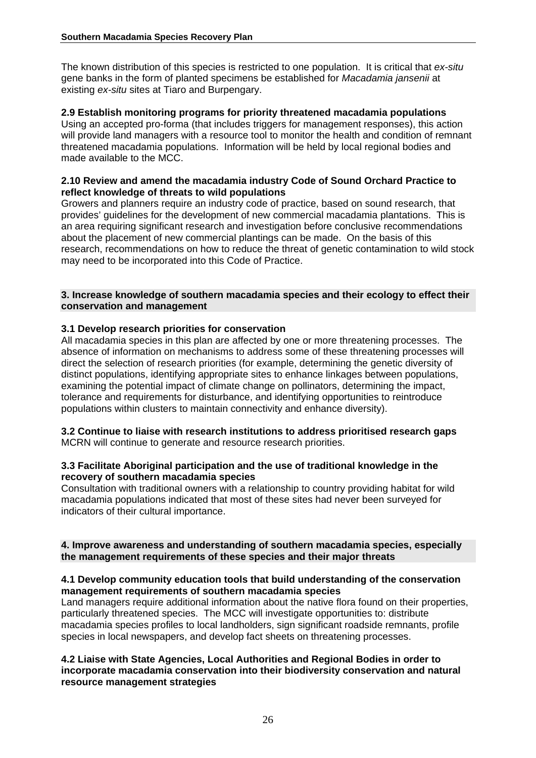The known distribution of this species is restricted to one population. It is critical that *ex-situ* gene banks in the form of planted specimens be established for *Macadamia jansenii* at existing *ex-situ* sites at Tiaro and Burpengary.

#### **2.9 Establish monitoring programs for priority threatened macadamia populations**

Using an accepted pro-forma (that includes triggers for management responses), this action will provide land managers with a resource tool to monitor the health and condition of remnant threatened macadamia populations. Information will be held by local regional bodies and made available to the MCC.

#### **2.10 Review and amend the macadamia industry Code of Sound Orchard Practice to reflect knowledge of threats to wild populations**

Growers and planners require an industry code of practice, based on sound research, that provides' guidelines for the development of new commercial macadamia plantations. This is an area requiring significant research and investigation before conclusive recommendations about the placement of new commercial plantings can be made. On the basis of this research, recommendations on how to reduce the threat of genetic contamination to wild stock may need to be incorporated into this Code of Practice.

#### **3. Increase knowledge of southern macadamia species and their ecology to effect their conservation and management**

#### **3.1 Develop research priorities for conservation**

All macadamia species in this plan are affected by one or more threatening processes. The absence of information on mechanisms to address some of these threatening processes will direct the selection of research priorities (for example, determining the genetic diversity of distinct populations, identifying appropriate sites to enhance linkages between populations, examining the potential impact of climate change on pollinators, determining the impact, tolerance and requirements for disturbance, and identifying opportunities to reintroduce populations within clusters to maintain connectivity and enhance diversity).

#### **3.2 Continue to liaise with research institutions to address prioritised research gaps**  MCRN will continue to generate and resource research priorities.

#### **3.3 Facilitate Aboriginal participation and the use of traditional knowledge in the recovery of southern macadamia species**

Consultation with traditional owners with a relationship to country providing habitat for wild macadamia populations indicated that most of these sites had never been surveyed for indicators of their cultural importance.

#### **4. Improve awareness and understanding of southern macadamia species, especially the management requirements of these species and their major threats**

#### **4.1 Develop community education tools that build understanding of the conservation management requirements of southern macadamia species**

Land managers require additional information about the native flora found on their properties, particularly threatened species. The MCC will investigate opportunities to: distribute macadamia species profiles to local landholders, sign significant roadside remnants, profile species in local newspapers, and develop fact sheets on threatening processes.

#### **4.2 Liaise with State Agencies, Local Authorities and Regional Bodies in order to incorporate macadamia conservation into their biodiversity conservation and natural resource management strategies**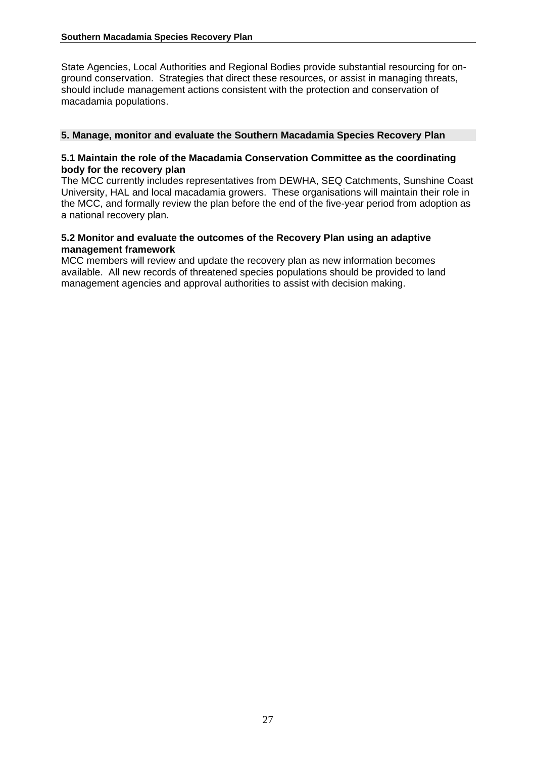State Agencies, Local Authorities and Regional Bodies provide substantial resourcing for onground conservation. Strategies that direct these resources, or assist in managing threats, should include management actions consistent with the protection and conservation of macadamia populations.

#### **5. Manage, monitor and evaluate the Southern Macadamia Species Recovery Plan**

#### **5.1 Maintain the role of the Macadamia Conservation Committee as the coordinating body for the recovery plan**

The MCC currently includes representatives from DEWHA, SEQ Catchments, Sunshine Coast University, HAL and local macadamia growers. These organisations will maintain their role in the MCC, and formally review the plan before the end of the five-year period from adoption as a national recovery plan.

#### **5.2 Monitor and evaluate the outcomes of the Recovery Plan using an adaptive management framework**

MCC members will review and update the recovery plan as new information becomes available. All new records of threatened species populations should be provided to land management agencies and approval authorities to assist with decision making.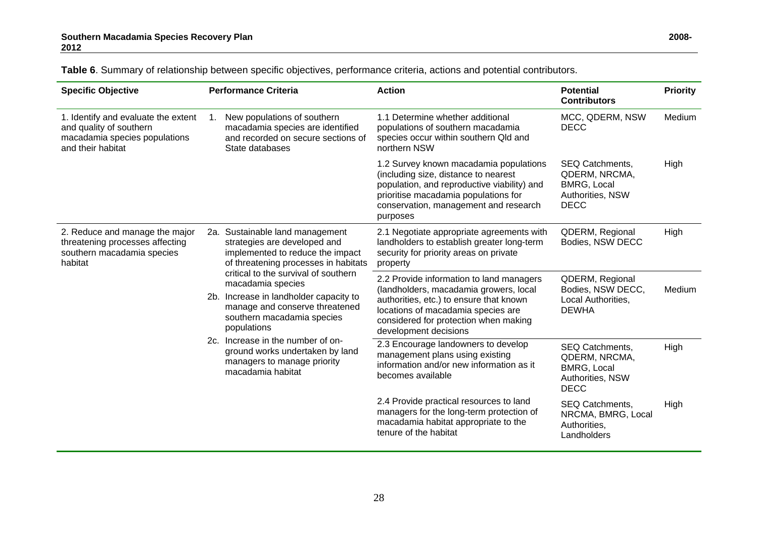| <b>Specific Objective</b>                                                                                                                                                                                                                                                                                                                                                                                                                                                                                                                                                   |                                                                                                                                                                                                                                       | <b>Performance Criteria</b>                                                                                              | <b>Action</b>                                                                                                                                                                                                              | <b>Potential</b><br><b>Contributors</b>                                                   | <b>Priority</b> |
|-----------------------------------------------------------------------------------------------------------------------------------------------------------------------------------------------------------------------------------------------------------------------------------------------------------------------------------------------------------------------------------------------------------------------------------------------------------------------------------------------------------------------------------------------------------------------------|---------------------------------------------------------------------------------------------------------------------------------------------------------------------------------------------------------------------------------------|--------------------------------------------------------------------------------------------------------------------------|----------------------------------------------------------------------------------------------------------------------------------------------------------------------------------------------------------------------------|-------------------------------------------------------------------------------------------|-----------------|
| 1. Identify and evaluate the extent<br>and quality of southern<br>macadamia species populations<br>and their habitat                                                                                                                                                                                                                                                                                                                                                                                                                                                        | $1_{\cdot}$                                                                                                                                                                                                                           | New populations of southern<br>macadamia species are identified<br>and recorded on secure sections of<br>State databases | 1.1 Determine whether additional<br>populations of southern macadamia<br>species occur within southern Qld and<br>northern NSW                                                                                             | MCC, QDERM, NSW<br><b>DECC</b>                                                            | Medium          |
|                                                                                                                                                                                                                                                                                                                                                                                                                                                                                                                                                                             |                                                                                                                                                                                                                                       |                                                                                                                          | 1.2 Survey known macadamia populations<br>(including size, distance to nearest<br>population, and reproductive viability) and<br>prioritise macadamia populations for<br>conservation, management and research<br>purposes | SEQ Catchments,<br>QDERM, NRCMA,<br><b>BMRG, Local</b><br>Authorities, NSW<br><b>DECC</b> | High            |
| 2. Reduce and manage the major<br>2a. Sustainable land management<br>threatening processes affecting<br>strategies are developed and<br>southern macadamia species<br>implemented to reduce the impact<br>of threatening processes in habitats<br>habitat<br>critical to the survival of southern<br>macadamia species<br>2b. Increase in landholder capacity to<br>manage and conserve threatened<br>southern macadamia species<br>populations<br>2c. Increase in the number of on-<br>ground works undertaken by land<br>managers to manage priority<br>macadamia habitat |                                                                                                                                                                                                                                       |                                                                                                                          | 2.1 Negotiate appropriate agreements with<br>landholders to establish greater long-term<br>security for priority areas on private<br>property                                                                              | QDERM, Regional<br>Bodies, NSW DECC                                                       | High            |
|                                                                                                                                                                                                                                                                                                                                                                                                                                                                                                                                                                             | 2.2 Provide information to land managers<br>(landholders, macadamia growers, local<br>authorities, etc.) to ensure that known<br>locations of macadamia species are<br>considered for protection when making<br>development decisions | QDERM, Regional<br>Bodies, NSW DECC,<br>Local Authorities,<br><b>DEWHA</b>                                               | Medium                                                                                                                                                                                                                     |                                                                                           |                 |
|                                                                                                                                                                                                                                                                                                                                                                                                                                                                                                                                                                             | 2.3 Encourage landowners to develop<br>management plans using existing<br>information and/or new information as it<br>becomes available                                                                                               | SEQ Catchments,<br>QDERM, NRCMA,<br><b>BMRG, Local</b><br>Authorities, NSW<br><b>DECC</b>                                | High                                                                                                                                                                                                                       |                                                                                           |                 |
|                                                                                                                                                                                                                                                                                                                                                                                                                                                                                                                                                                             |                                                                                                                                                                                                                                       |                                                                                                                          | 2.4 Provide practical resources to land<br>managers for the long-term protection of<br>macadamia habitat appropriate to the<br>tenure of the habitat                                                                       | SEQ Catchments,<br>NRCMA, BMRG, Local<br>Authorities,<br>Landholders                      | High            |

**Table 6**. Summary of relationship between specific objectives, performance criteria, actions and potential contributors.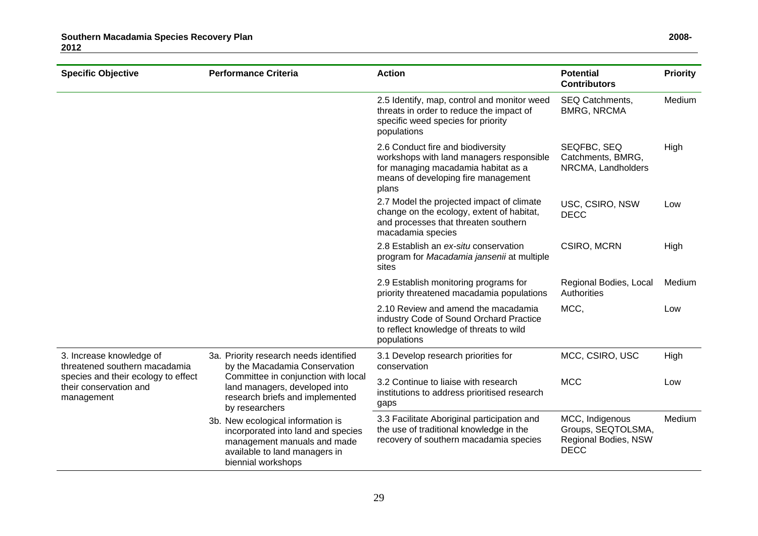| <b>Specific Objective</b>                                                   | <b>Performance Criteria</b>                                                                                                                                   | <b>Action</b>                                                                                                                                                        | <b>Potential</b><br><b>Contributors</b>                                      | <b>Priority</b> |
|-----------------------------------------------------------------------------|---------------------------------------------------------------------------------------------------------------------------------------------------------------|----------------------------------------------------------------------------------------------------------------------------------------------------------------------|------------------------------------------------------------------------------|-----------------|
|                                                                             |                                                                                                                                                               | 2.5 Identify, map, control and monitor weed<br>threats in order to reduce the impact of<br>specific weed species for priority<br>populations                         | SEQ Catchments,<br><b>BMRG, NRCMA</b>                                        | Medium          |
|                                                                             |                                                                                                                                                               | 2.6 Conduct fire and biodiversity<br>workshops with land managers responsible<br>for managing macadamia habitat as a<br>means of developing fire management<br>plans | SEQFBC, SEQ<br>Catchments, BMRG,<br>NRCMA, Landholders                       | High            |
|                                                                             |                                                                                                                                                               | 2.7 Model the projected impact of climate<br>change on the ecology, extent of habitat,<br>and processes that threaten southern<br>macadamia species                  | USC, CSIRO, NSW<br><b>DECC</b>                                               | Low             |
|                                                                             |                                                                                                                                                               | 2.8 Establish an ex-situ conservation<br>program for Macadamia jansenii at multiple<br>sites                                                                         | CSIRO, MCRN                                                                  | High            |
|                                                                             |                                                                                                                                                               | 2.9 Establish monitoring programs for<br>priority threatened macadamia populations                                                                                   | Regional Bodies, Local<br>Authorities                                        | Medium          |
|                                                                             |                                                                                                                                                               | 2.10 Review and amend the macadamia<br>industry Code of Sound Orchard Practice<br>to reflect knowledge of threats to wild<br>populations                             | MCC,                                                                         | Low             |
| 3. Increase knowledge of<br>threatened southern macadamia                   | 3a. Priority research needs identified<br>by the Macadamia Conservation                                                                                       | 3.1 Develop research priorities for<br>conservation                                                                                                                  | MCC, CSIRO, USC                                                              | High            |
| species and their ecology to effect<br>their conservation and<br>management | Committee in conjunction with local<br>land managers, developed into<br>research briefs and implemented<br>by researchers                                     | 3.2 Continue to liaise with research<br>institutions to address prioritised research<br>gaps                                                                         | <b>MCC</b>                                                                   | Low             |
|                                                                             | 3b. New ecological information is<br>incorporated into land and species<br>management manuals and made<br>available to land managers in<br>biennial workshops | 3.3 Facilitate Aboriginal participation and<br>the use of traditional knowledge in the<br>recovery of southern macadamia species                                     | MCC, Indigenous<br>Groups, SEQTOLSMA,<br>Regional Bodies, NSW<br><b>DECC</b> | Medium          |

29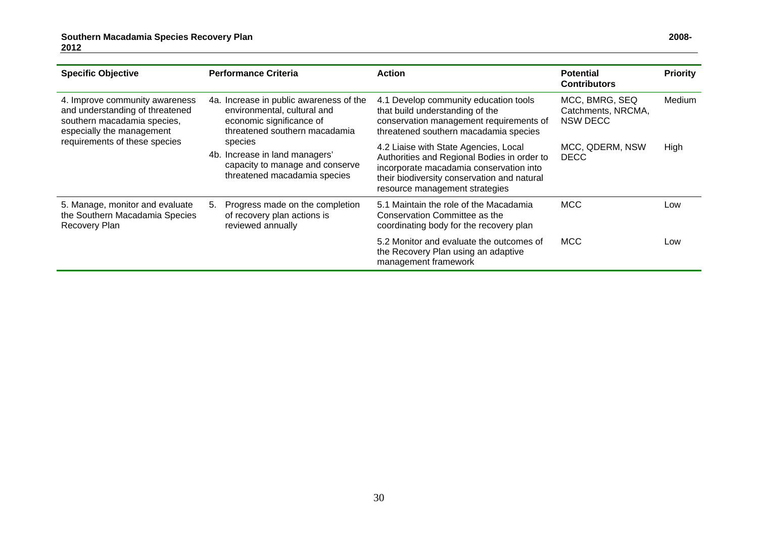| <b>Specific Objective</b>                                                                                                     | <b>Performance Criteria</b>                                                                                                         | <b>Action</b>                                                                                                                                                                                                    | <b>Potential</b><br><b>Contributors</b>          | <b>Priority</b> |
|-------------------------------------------------------------------------------------------------------------------------------|-------------------------------------------------------------------------------------------------------------------------------------|------------------------------------------------------------------------------------------------------------------------------------------------------------------------------------------------------------------|--------------------------------------------------|-----------------|
| 4. Improve community awareness<br>and understanding of threatened<br>southern macadamia species,<br>especially the management | 4a. Increase in public awareness of the<br>environmental, cultural and<br>economic significance of<br>threatened southern macadamia | 4.1 Develop community education tools<br>that build understanding of the<br>conservation management requirements of<br>threatened southern macadamia species                                                     | MCC, BMRG, SEQ<br>Catchments, NRCMA,<br>NSW DECC | Medium          |
| requirements of these species                                                                                                 | species<br>4b. Increase in land managers'<br>capacity to manage and conserve<br>threatened macadamia species                        | 4.2 Liaise with State Agencies, Local<br>Authorities and Regional Bodies in order to<br>incorporate macadamia conservation into<br>their biodiversity conservation and natural<br>resource management strategies | MCC, QDERM, NSW<br><b>DECC</b>                   | High            |
| 5. Manage, monitor and evaluate<br>the Southern Macadamia Species<br>Recovery Plan                                            | Progress made on the completion<br>5.<br>of recovery plan actions is<br>reviewed annually                                           | 5.1 Maintain the role of the Macadamia<br>Conservation Committee as the<br>coordinating body for the recovery plan                                                                                               | <b>MCC</b>                                       | Low             |
|                                                                                                                               |                                                                                                                                     | 5.2 Monitor and evaluate the outcomes of<br>the Recovery Plan using an adaptive<br>management framework                                                                                                          | <b>MCC</b>                                       | Low             |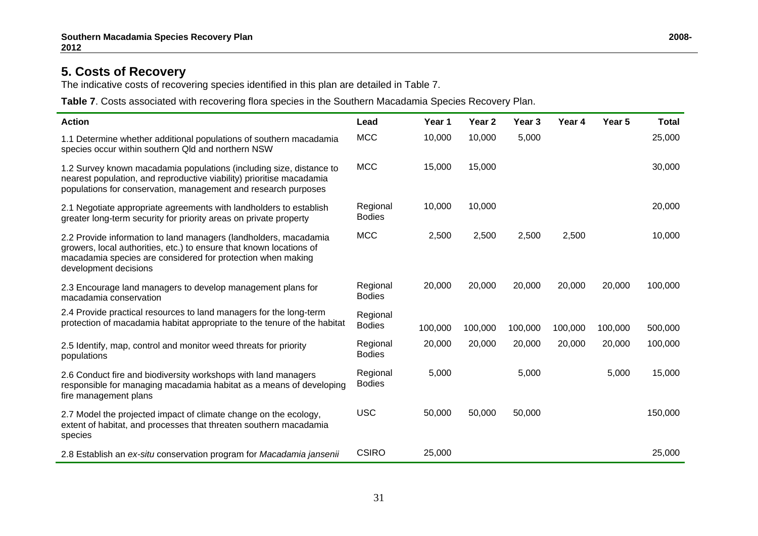## **5. Costs of Recovery**

The indicative costs of recovering species identified in this plan are detailed in Table 7.

**Table 7**. Costs associated with recovering flora species in the Southern Macadamia Species Recovery Plan.

| <b>Action</b>                                                                                                                                                                                                                   | Lead                      | Year 1  | Year <sub>2</sub> | Year <sub>3</sub> | Year 4  | Year 5  | <b>Total</b> |
|---------------------------------------------------------------------------------------------------------------------------------------------------------------------------------------------------------------------------------|---------------------------|---------|-------------------|-------------------|---------|---------|--------------|
| 1.1 Determine whether additional populations of southern macadamia<br>species occur within southern Qld and northern NSW                                                                                                        | <b>MCC</b>                | 10,000  | 10,000            | 5,000             |         |         | 25,000       |
| 1.2 Survey known macadamia populations (including size, distance to<br>nearest population, and reproductive viability) prioritise macadamia<br>populations for conservation, management and research purposes                   | <b>MCC</b>                | 15,000  | 15,000            |                   |         |         | 30,000       |
| 2.1 Negotiate appropriate agreements with landholders to establish<br>greater long-term security for priority areas on private property                                                                                         | Regional<br><b>Bodies</b> | 10,000  | 10,000            |                   |         |         | 20,000       |
| 2.2 Provide information to land managers (landholders, macadamia<br>growers, local authorities, etc.) to ensure that known locations of<br>macadamia species are considered for protection when making<br>development decisions | <b>MCC</b>                | 2,500   | 2,500             | 2,500             | 2,500   |         | 10,000       |
| 2.3 Encourage land managers to develop management plans for<br>macadamia conservation                                                                                                                                           | Regional<br><b>Bodies</b> | 20,000  | 20,000            | 20,000            | 20,000  | 20,000  | 100,000      |
| 2.4 Provide practical resources to land managers for the long-term<br>protection of macadamia habitat appropriate to the tenure of the habitat                                                                                  | Regional<br><b>Bodies</b> | 100,000 | 100,000           | 100,000           | 100,000 | 100,000 | 500,000      |
| 2.5 Identify, map, control and monitor weed threats for priority<br>populations                                                                                                                                                 | Regional<br><b>Bodies</b> | 20,000  | 20,000            | 20,000            | 20,000  | 20,000  | 100,000      |
| 2.6 Conduct fire and biodiversity workshops with land managers<br>responsible for managing macadamia habitat as a means of developing<br>fire management plans                                                                  | Regional<br><b>Bodies</b> | 5,000   |                   | 5,000             |         | 5,000   | 15,000       |
| 2.7 Model the projected impact of climate change on the ecology,<br>extent of habitat, and processes that threaten southern macadamia<br>species                                                                                | <b>USC</b>                | 50,000  | 50,000            | 50,000            |         |         | 150,000      |
| 2.8 Establish an ex-situ conservation program for Macadamia jansenii                                                                                                                                                            | <b>CSIRO</b>              | 25,000  |                   |                   |         |         | 25,000       |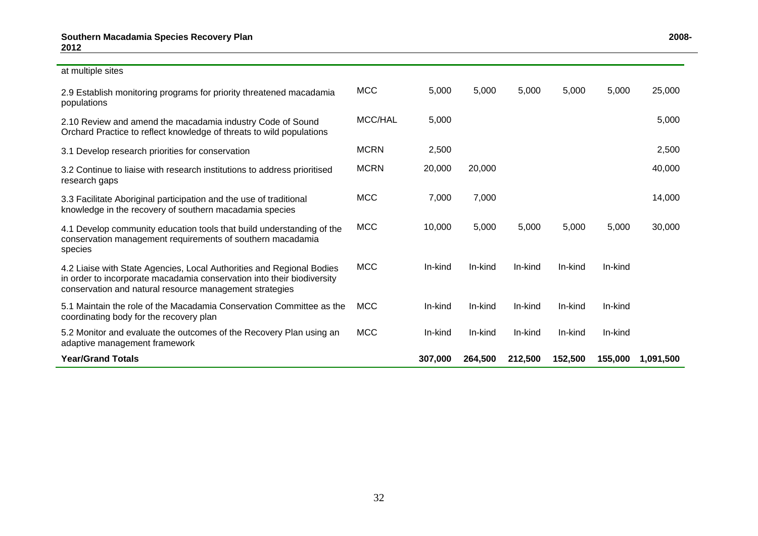#### at multiple sites

| 2.9 Establish monitoring programs for priority threatened macadamia<br>populations                                                                                                                         | <b>MCC</b>  | 5,000   | 5,000   | 5.000   | 5,000   | 5,000   | 25,000    |
|------------------------------------------------------------------------------------------------------------------------------------------------------------------------------------------------------------|-------------|---------|---------|---------|---------|---------|-----------|
| 2.10 Review and amend the macadamia industry Code of Sound<br>Orchard Practice to reflect knowledge of threats to wild populations                                                                         | MCC/HAL     | 5,000   |         |         |         |         | 5,000     |
| 3.1 Develop research priorities for conservation                                                                                                                                                           | <b>MCRN</b> | 2,500   |         |         |         |         | 2,500     |
| 3.2 Continue to liaise with research institutions to address prioritised<br>research gaps                                                                                                                  | <b>MCRN</b> | 20,000  | 20,000  |         |         |         | 40,000    |
| 3.3 Facilitate Aboriginal participation and the use of traditional<br>knowledge in the recovery of southern macadamia species                                                                              | <b>MCC</b>  | 7,000   | 7,000   |         |         |         | 14,000    |
| 4.1 Develop community education tools that build understanding of the<br>conservation management requirements of southern macadamia<br>species                                                             | <b>MCC</b>  | 10,000  | 5,000   | 5,000   | 5,000   | 5,000   | 30,000    |
| 4.2 Liaise with State Agencies, Local Authorities and Regional Bodies<br>in order to incorporate macadamia conservation into their biodiversity<br>conservation and natural resource management strategies | <b>MCC</b>  | In-kind | In-kind | In-kind | In-kind | In-kind |           |
| 5.1 Maintain the role of the Macadamia Conservation Committee as the<br>coordinating body for the recovery plan                                                                                            | <b>MCC</b>  | In-kind | In-kind | In-kind | In-kind | In-kind |           |
| 5.2 Monitor and evaluate the outcomes of the Recovery Plan using an<br>adaptive management framework                                                                                                       | <b>MCC</b>  | In-kind | In-kind | In-kind | In-kind | In-kind |           |
| <b>Year/Grand Totals</b>                                                                                                                                                                                   |             | 307,000 | 264,500 | 212,500 | 152,500 | 155,000 | 1,091,500 |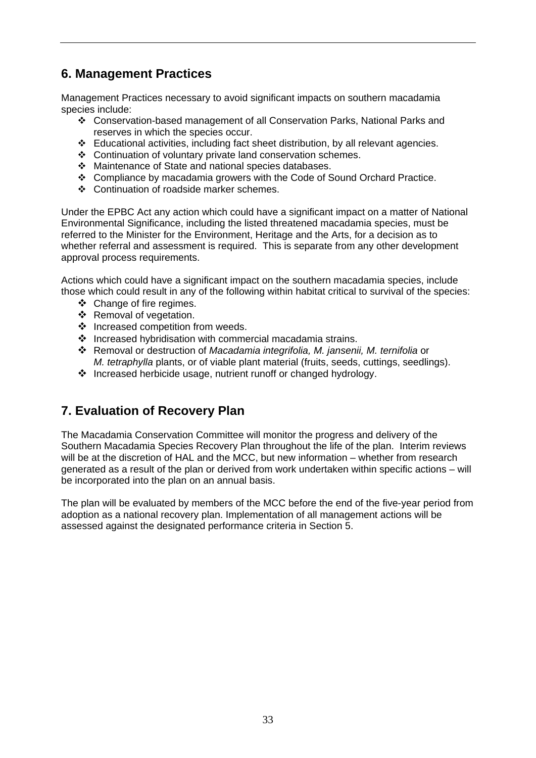# **6. Management Practices**

Management Practices necessary to avoid significant impacts on southern macadamia species include:

- Conservation-based management of all Conservation Parks, National Parks and reserves in which the species occur.
- Educational activities, including fact sheet distribution, by all relevant agencies.
- Continuation of voluntary private land conservation schemes.
- Maintenance of State and national species databases.
- Compliance by macadamia growers with the Code of Sound Orchard Practice.
- Continuation of roadside marker schemes.

Under the EPBC Act any action which could have a significant impact on a matter of National Environmental Significance, including the listed threatened macadamia species, must be referred to the Minister for the Environment, Heritage and the Arts, for a decision as to whether referral and assessment is required. This is separate from any other development approval process requirements.

Actions which could have a significant impact on the southern macadamia species, include those which could result in any of the following within habitat critical to survival of the species:

- ❖ Change of fire regimes.
- ❖ Removal of vegetation.
- ❖ Increased competition from weeds.
- ❖ Increased hybridisation with commercial macadamia strains.
- Removal or destruction of *Macadamia integrifolia, M. jansenii, M. ternifolia* or *M. tetraphylla* plants, or of viable plant material (fruits, seeds, cuttings, seedlings).
- Increased herbicide usage, nutrient runoff or changed hydrology.

# **7. Evaluation of Recovery Plan**

The Macadamia Conservation Committee will monitor the progress and delivery of the Southern Macadamia Species Recovery Plan throughout the life of the plan. Interim reviews will be at the discretion of HAL and the MCC, but new information – whether from research generated as a result of the plan or derived from work undertaken within specific actions – will be incorporated into the plan on an annual basis.

The plan will be evaluated by members of the MCC before the end of the five-year period from adoption as a national recovery plan. Implementation of all management actions will be assessed against the designated performance criteria in Section 5.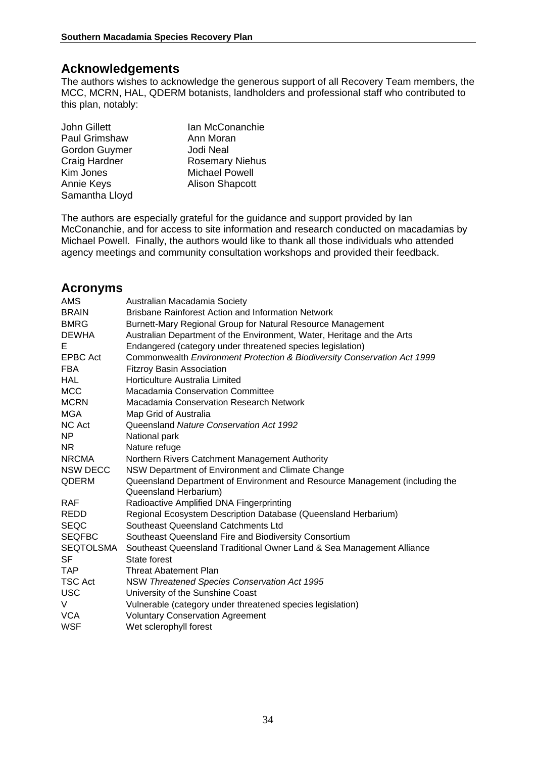## **Acknowledgements**

The authors wishes to acknowledge the generous support of all Recovery Team members, the MCC, MCRN, HAL, QDERM botanists, landholders and professional staff who contributed to this plan, notably:

| John Gillett   | Ian McConanchie        |
|----------------|------------------------|
| Paul Grimshaw  | Ann Moran              |
| Gordon Guymer  | Jodi Neal              |
| Craig Hardner  | <b>Rosemary Niehus</b> |
| Kim Jones      | <b>Michael Powell</b>  |
| Annie Keys     | <b>Alison Shapcott</b> |
| Samantha Lloyd |                        |

The authors are especially grateful for the guidance and support provided by Ian McConanchie, and for access to site information and research conducted on macadamias by Michael Powell. Finally, the authors would like to thank all those individuals who attended agency meetings and community consultation workshops and provided their feedback.

## **Acronyms**

| AMS                       | Australian Macadamia Society                                                                          |
|---------------------------|-------------------------------------------------------------------------------------------------------|
| <b>BRAIN</b>              | <b>Brisbane Rainforest Action and Information Network</b>                                             |
| <b>BMRG</b>               | Burnett-Mary Regional Group for Natural Resource Management                                           |
| <b>DEWHA</b>              | Australian Department of the Environment, Water, Heritage and the Arts                                |
| Е                         | Endangered (category under threatened species legislation)                                            |
| <b>EPBC Act</b>           | Commonwealth Environment Protection & Biodiversity Conservation Act 1999                              |
| <b>FBA</b>                | <b>Fitzroy Basin Association</b>                                                                      |
| <b>HAL</b>                | Horticulture Australia Limited                                                                        |
| <b>MCC</b>                | Macadamia Conservation Committee                                                                      |
| <b>MCRN</b>               | Macadamia Conservation Research Network                                                               |
| <b>MGA</b>                | Map Grid of Australia                                                                                 |
| NC Act                    | Queensland Nature Conservation Act 1992                                                               |
| NP.                       | National park                                                                                         |
| NR                        | Nature refuge                                                                                         |
| <b>NRCMA</b>              | Northern Rivers Catchment Management Authority                                                        |
| <b>NSW DECC</b>           | NSW Department of Environment and Climate Change                                                      |
| <b>QDERM</b>              | Queensland Department of Environment and Resource Management (including the                           |
|                           | Queensland Herbarium)                                                                                 |
| <b>RAF</b><br><b>REDD</b> | Radioactive Amplified DNA Fingerprinting                                                              |
| <b>SEQC</b>               | Regional Ecosystem Description Database (Queensland Herbarium)<br>Southeast Queensland Catchments Ltd |
| <b>SEQFBC</b>             | Southeast Queensland Fire and Biodiversity Consortium                                                 |
| <b>SEQTOLSMA</b>          | Southeast Queensland Traditional Owner Land & Sea Management Alliance                                 |
| <b>SF</b>                 | State forest                                                                                          |
| <b>TAP</b>                | Threat Abatement Plan                                                                                 |
| <b>TSC Act</b>            | NSW Threatened Species Conservation Act 1995                                                          |
| <b>USC</b>                | University of the Sunshine Coast                                                                      |
| V                         | Vulnerable (category under threatened species legislation)                                            |
| <b>VCA</b>                | <b>Voluntary Conservation Agreement</b>                                                               |
| <b>WSF</b>                | Wet sclerophyll forest                                                                                |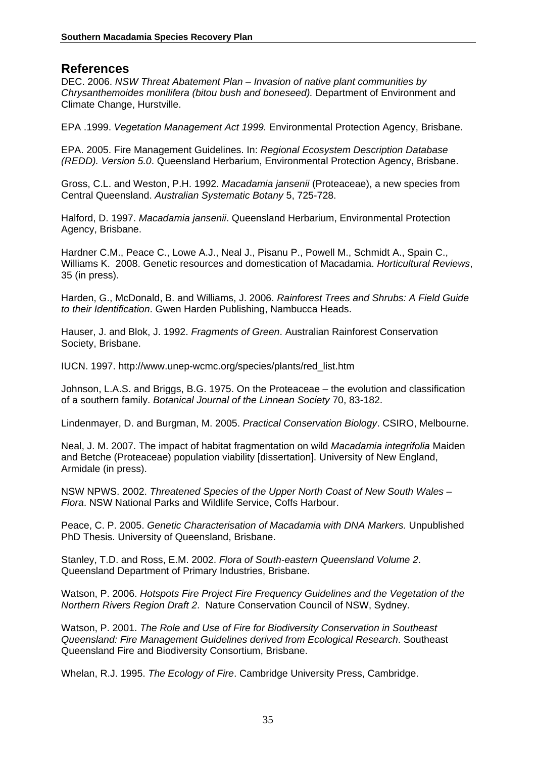#### **References**

DEC. 2006. *NSW Threat Abatement Plan – Invasion of native plant communities by Chrysanthemoides monilifera (bitou bush and boneseed).* Department of Environment and Climate Change, Hurstville.

EPA .1999. *Vegetation Management Act 1999.* Environmental Protection Agency, Brisbane.

EPA. 2005. Fire Management Guidelines. In: *Regional Ecosystem Description Database (REDD). Version 5.0*. Queensland Herbarium, Environmental Protection Agency, Brisbane.

Gross, C.L. and Weston, P.H. 1992. *Macadamia jansenii* (Proteaceae), a new species from Central Queensland. *Australian Systematic Botany* 5, 725-728.

Halford, D. 1997. *Macadamia jansenii*. Queensland Herbarium, Environmental Protection Agency, Brisbane.

Hardner C.M., Peace C., Lowe A.J., Neal J., Pisanu P., Powell M., Schmidt A., Spain C., Williams K. 2008. Genetic resources and domestication of Macadamia. *Horticultural Reviews*, 35 (in press).

Harden, G., McDonald, B. and Williams, J. 2006. *Rainforest Trees and Shrubs: A Field Guide to their Identification*. Gwen Harden Publishing, Nambucca Heads.

Hauser, J. and Blok, J. 1992. *Fragments of Green*. Australian Rainforest Conservation Society, Brisbane.

IUCN. 1997. http://www.unep-wcmc.org/species/plants/red\_list.htm

Johnson, L.A.S. and Briggs, B.G. 1975. On the Proteaceae – the evolution and classification of a southern family. *Botanical Journal of the Linnean Society* 70, 83-182.

Lindenmayer, D. and Burgman, M. 2005. *Practical Conservation Biology*. CSIRO, Melbourne.

Neal, J. M. 2007. The impact of habitat fragmentation on wild *Macadamia integrifolia* Maiden and Betche (Proteaceae) population viability [dissertation]. University of New England, Armidale (in press).

NSW NPWS. 2002. *Threatened Species of the Upper North Coast of New South Wales – Flora*. NSW National Parks and Wildlife Service, Coffs Harbour.

Peace, C. P. 2005. *Genetic Characterisation of Macadamia with DNA Markers.* Unpublished PhD Thesis. University of Queensland, Brisbane.

Stanley, T.D. and Ross, E.M. 2002. *Flora of South-eastern Queensland Volume 2*. Queensland Department of Primary Industries, Brisbane.

Watson, P. 2006. *Hotspots Fire Project Fire Frequency Guidelines and the Vegetation of the Northern Rivers Region Draft 2*. Nature Conservation Council of NSW, Sydney.

Watson, P. 2001. *The Role and Use of Fire for Biodiversity Conservation in Southeast Queensland: Fire Management Guidelines derived from Ecological Research*. Southeast Queensland Fire and Biodiversity Consortium, Brisbane.

Whelan, R.J. 1995. *The Ecology of Fire*. Cambridge University Press, Cambridge.